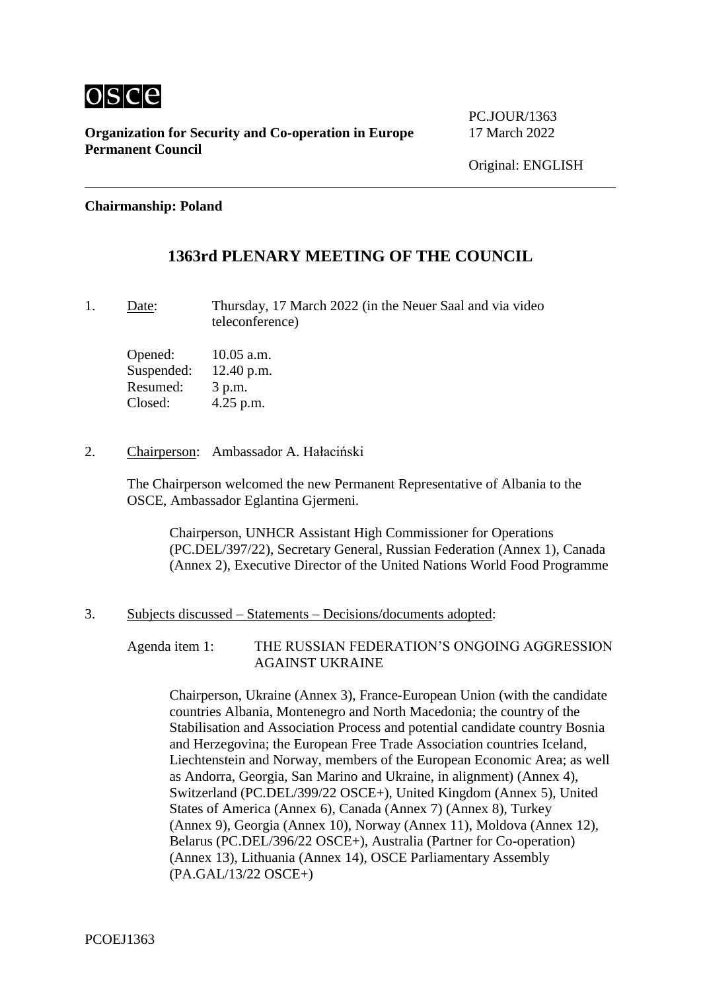

PC.JOUR/1363

#### **Chairmanship: Poland**

# **1363rd PLENARY MEETING OF THE COUNCIL**

1. Date: Thursday, 17 March 2022 (in the Neuer Saal and via video teleconference)

Opened: 10.05 a.m. Suspended: 12.40 p.m. Resumed: 3 p.m. Closed: 4.25 p.m.

2. Chairperson: Ambassador A. Hałaciński

The Chairperson welcomed the new Permanent Representative of Albania to the OSCE, Ambassador Eglantina Gjermeni.

Chairperson, UNHCR Assistant High Commissioner for Operations (PC.DEL/397/22), Secretary General, Russian Federation (Annex 1), Canada (Annex 2), Executive Director of the United Nations World Food Programme

#### 3. Subjects discussed – Statements – Decisions/documents adopted:

Agenda item 1: THE RUSSIAN FEDERATION'S ONGOING AGGRESSION AGAINST UKRAINE

Chairperson, Ukraine (Annex 3), France-European Union (with the candidate countries Albania, Montenegro and North Macedonia; the country of the Stabilisation and Association Process and potential candidate country Bosnia and Herzegovina; the European Free Trade Association countries Iceland, Liechtenstein and Norway, members of the European Economic Area; as well as Andorra, Georgia, San Marino and Ukraine, in alignment) (Annex 4), Switzerland (PC.DEL/399/22 OSCE+), United Kingdom (Annex 5), United States of America (Annex 6), Canada (Annex 7) (Annex 8), Turkey (Annex 9), Georgia (Annex 10), Norway (Annex 11), Moldova (Annex 12), Belarus (PC.DEL/396/22 OSCE+), Australia (Partner for Co-operation) (Annex 13), Lithuania (Annex 14), OSCE Parliamentary Assembly (PA.GAL/13/22 OSCE+)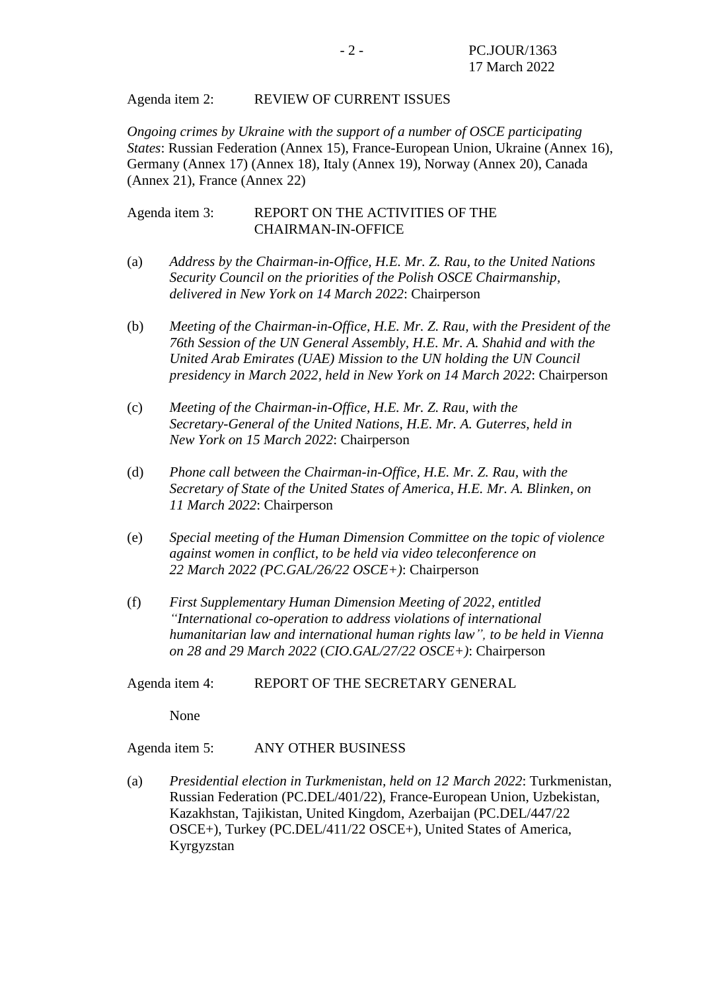#### Agenda item 2: REVIEW OF CURRENT ISSUES

*Ongoing crimes by Ukraine with the support of a number of OSCE participating States*: Russian Federation (Annex 15), France-European Union, Ukraine (Annex 16), Germany (Annex 17) (Annex 18), Italy (Annex 19), Norway (Annex 20), Canada (Annex 21), France (Annex 22)

Agenda item 3: REPORT ON THE ACTIVITIES OF THE CHAIRMAN-IN-OFFICE

- (a) *Address by the Chairman-in-Office, H.E. Mr. Z. Rau, to the United Nations Security Council on the priorities of the Polish OSCE Chairmanship, delivered in New York on 14 March 2022*: Chairperson
- (b) *Meeting of the Chairman-in-Office, H.E. Mr. Z. Rau, with the President of the 76th Session of the UN General Assembly, H.E. Mr. A. Shahid and with the United Arab Emirates (UAE) Mission to the UN holding the UN Council presidency in March 2022, held in New York on 14 March 2022*: Chairperson
- (c) *Meeting of the Chairman-in-Office, H.E. Mr. Z. Rau, with the Secretary-General of the United Nations, H.E. Mr. A. Guterres, held in New York on 15 March 2022*: Chairperson
- (d) *Phone call between the Chairman-in-Office, H.E. Mr. Z. Rau, with the Secretary of State of the United States of America, H.E. Mr. A. Blinken, on 11 March 2022*: Chairperson
- (e) *Special meeting of the Human Dimension Committee on the topic of violence against women in conflict, to be held via video teleconference on 22 March 2022 (PC.GAL/26/22 OSCE+)*: Chairperson
- (f) *First Supplementary Human Dimension Meeting of 2022, entitled "International co-operation to address violations of international humanitarian law and international human rights law", to be held in Vienna on 28 and 29 March 2022* (*CIO.GAL/27/22 OSCE+)*: Chairperson
- Agenda item 4: REPORT OF THE SECRETARY GENERAL

None

Agenda item 5: ANY OTHER BUSINESS

(a) *Presidential election in Turkmenistan, held on 12 March 2022*: Turkmenistan, Russian Federation (PC.DEL/401/22), France-European Union, Uzbekistan, Kazakhstan, Tajikistan, United Kingdom, Azerbaijan (PC.DEL/447/22 OSCE+), Turkey (PC.DEL/411/22 OSCE+), United States of America, Kyrgyzstan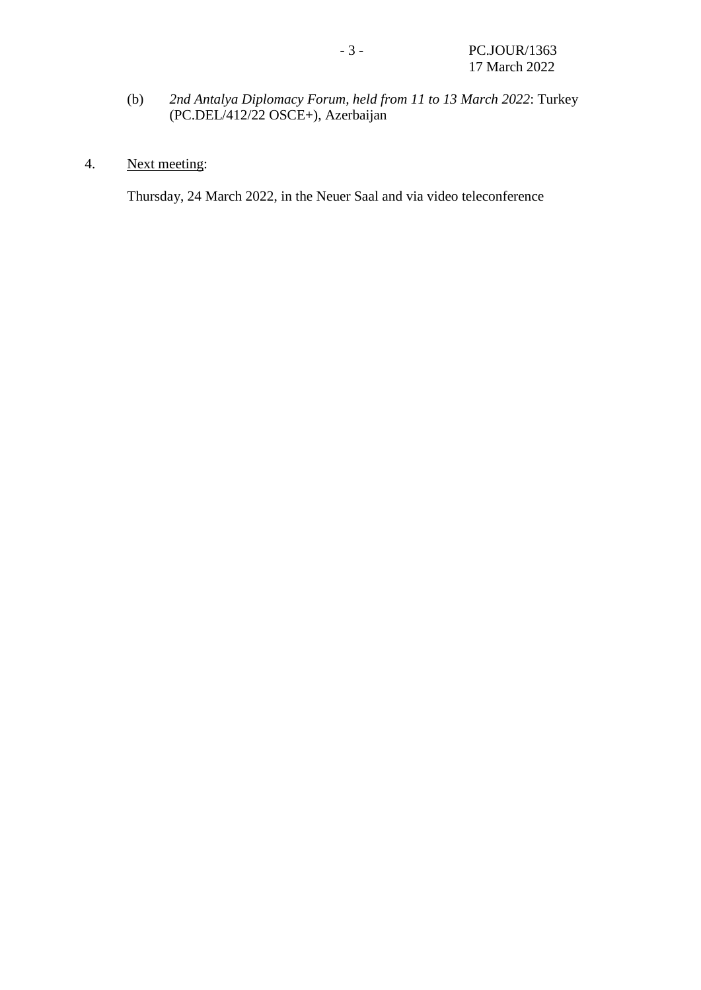- (b) *2nd Antalya Diplomacy Forum, held from 11 to 13 March 2022*: Turkey (PC.DEL/412/22 OSCE+), Azerbaijan
- 4. Next meeting:

Thursday, 24 March 2022, in the Neuer Saal and via video teleconference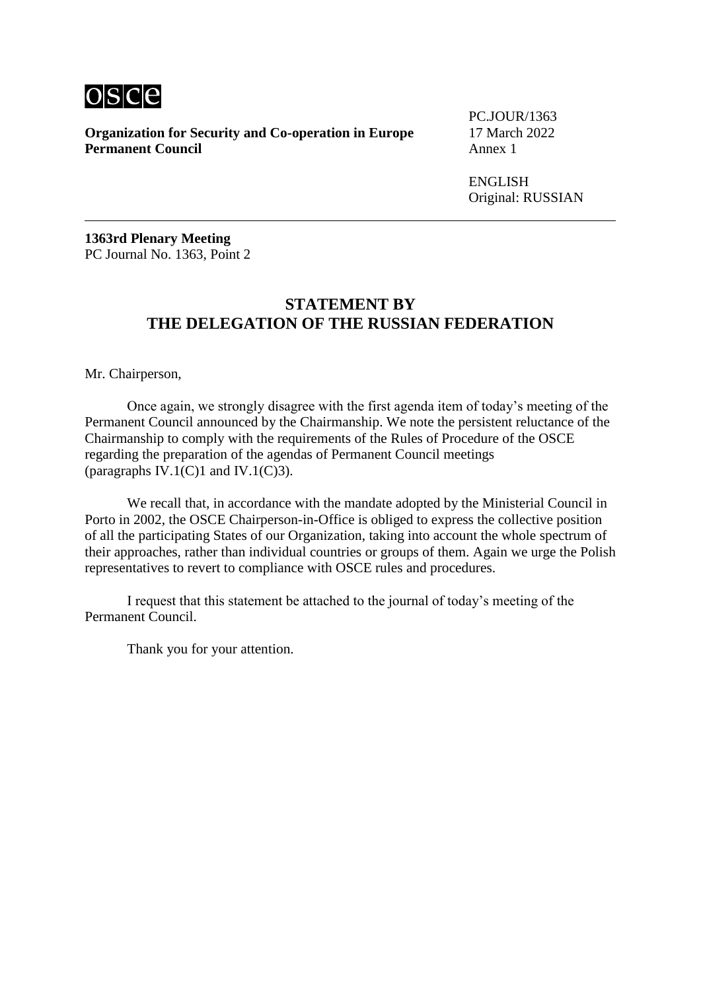

PC.JOUR/1363

**ENGLISH** Original: RUSSIAN

**1363rd Plenary Meeting** PC Journal No. 1363, Point 2

#### **STATEMENT BY THE DELEGATION OF THE RUSSIAN FEDERATION**

Mr. Chairperson,

Once again, we strongly disagree with the first agenda item of today's meeting of the Permanent Council announced by the Chairmanship. We note the persistent reluctance of the Chairmanship to comply with the requirements of the Rules of Procedure of the OSCE regarding the preparation of the agendas of Permanent Council meetings (paragraphs IV.1(C)1 and IV.1(C)3).

We recall that, in accordance with the mandate adopted by the Ministerial Council in Porto in 2002, the OSCE Chairperson-in-Office is obliged to express the collective position of all the participating States of our Organization, taking into account the whole spectrum of their approaches, rather than individual countries or groups of them. Again we urge the Polish representatives to revert to compliance with OSCE rules and procedures.

I request that this statement be attached to the journal of today's meeting of the Permanent Council.

Thank you for your attention.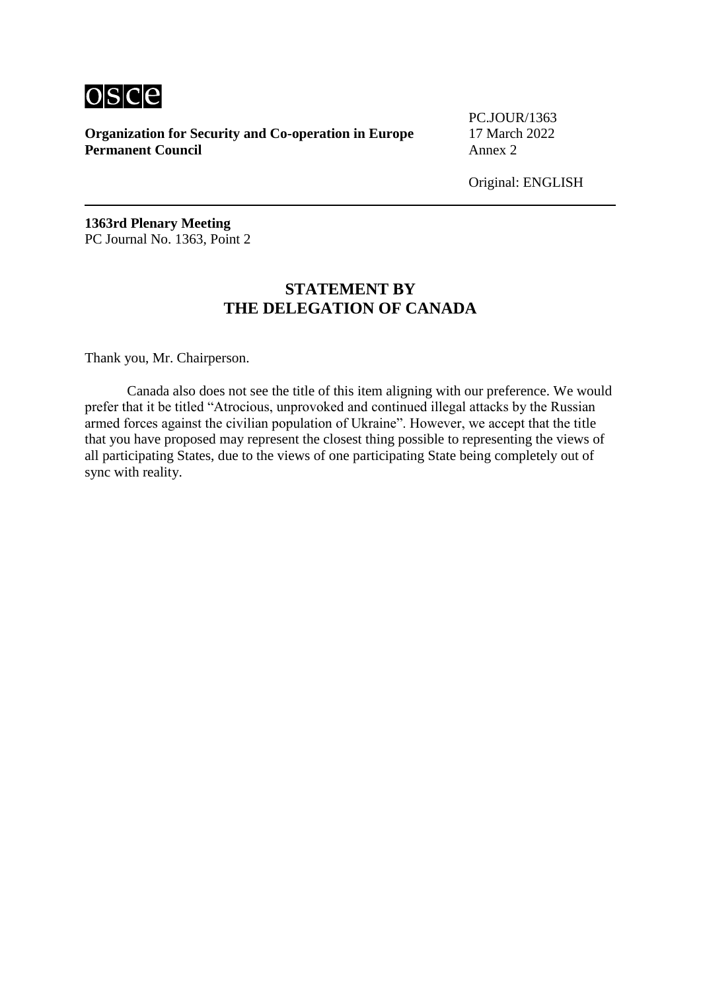

PC.JOUR/1363

Original: ENGLISH

**1363rd Plenary Meeting** PC Journal No. 1363, Point 2

### **STATEMENT BY THE DELEGATION OF CANADA**

Thank you, Mr. Chairperson.

Canada also does not see the title of this item aligning with our preference. We would prefer that it be titled "Atrocious, unprovoked and continued illegal attacks by the Russian armed forces against the civilian population of Ukraine". However, we accept that the title that you have proposed may represent the closest thing possible to representing the views of all participating States, due to the views of one participating State being completely out of sync with reality.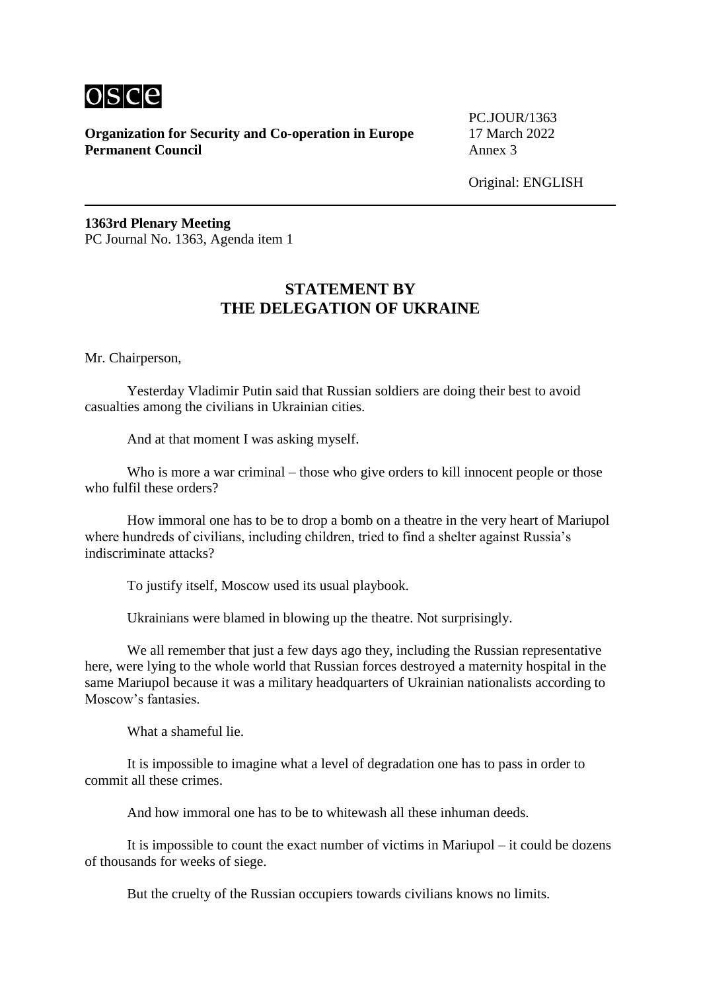

PC.JOUR/1363

Original: ENGLISH

**1363rd Plenary Meeting** PC Journal No. 1363, Agenda item 1

# **STATEMENT BY THE DELEGATION OF UKRAINE**

Mr. Chairperson,

Yesterday Vladimir Putin said that Russian soldiers are doing their best to avoid casualties among the civilians in Ukrainian cities.

And at that moment I was asking myself.

Who is more a war criminal – those who give orders to kill innocent people or those who fulfil these orders?

How immoral one has to be to drop a bomb on a theatre in the very heart of Mariupol where hundreds of civilians, including children, tried to find a shelter against Russia's indiscriminate attacks?

To justify itself, Moscow used its usual playbook.

Ukrainians were blamed in blowing up the theatre. Not surprisingly.

We all remember that just a few days ago they, including the Russian representative here, were lying to the whole world that Russian forces destroyed a maternity hospital in the same Mariupol because it was a military headquarters of Ukrainian nationalists according to Moscow's fantasies.

What a shameful lie.

It is impossible to imagine what a level of degradation one has to pass in order to commit all these crimes.

And how immoral one has to be to whitewash all these inhuman deeds.

It is impossible to count the exact number of victims in Mariupol – it could be dozens of thousands for weeks of siege.

But the cruelty of the Russian occupiers towards civilians knows no limits.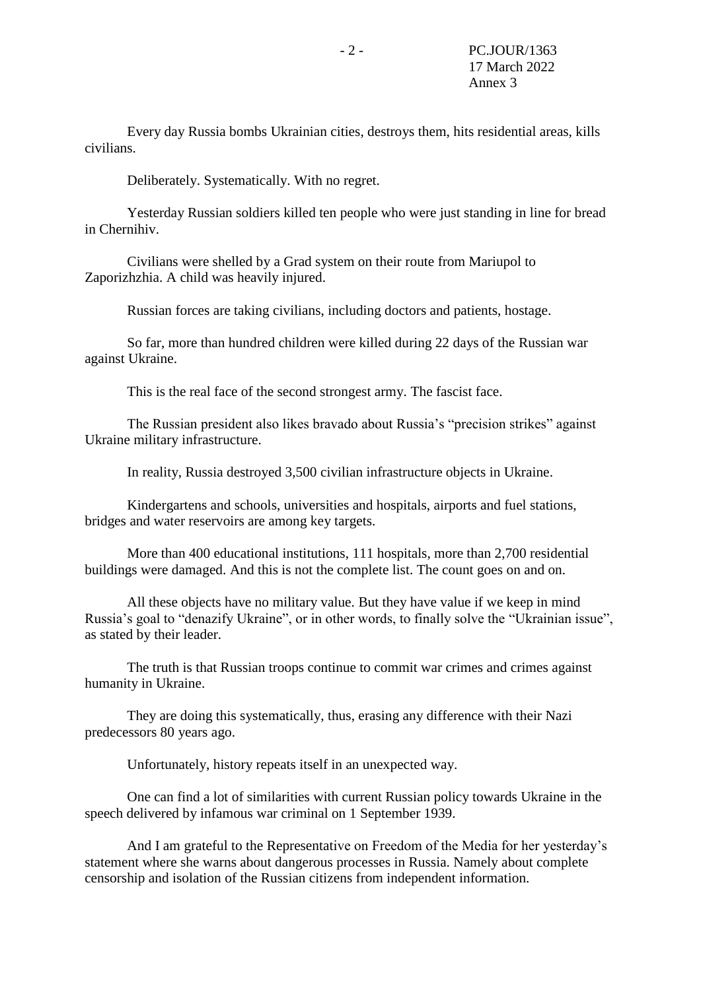Every day Russia bombs Ukrainian cities, destroys them, hits residential areas, kills civilians.

Deliberately. Systematically. With no regret.

Yesterday Russian soldiers killed ten people who were just standing in line for bread in Chernihiv.

Civilians were shelled by a Grad system on their route from Mariupol to Zaporizhzhia. A child was heavily injured.

Russian forces are taking civilians, including doctors and patients, hostage.

So far, more than hundred children were killed during 22 days of the Russian war against Ukraine.

This is the real face of the second strongest army. The fascist face.

The Russian president also likes bravado about Russia's "precision strikes" against Ukraine military infrastructure.

In reality, Russia destroyed 3,500 civilian infrastructure objects in Ukraine.

Kindergartens and schools, universities and hospitals, airports and fuel stations, bridges and water reservoirs are among key targets.

More than 400 educational institutions, 111 hospitals, more than 2,700 residential buildings were damaged. And this is not the complete list. The count goes on and on.

All these objects have no military value. But they have value if we keep in mind Russia's goal to "denazify Ukraine", or in other words, to finally solve the "Ukrainian issue", as stated by their leader.

The truth is that Russian troops continue to commit war crimes and crimes against humanity in Ukraine.

They are doing this systematically, thus, erasing any difference with their Nazi predecessors 80 years ago.

Unfortunately, history repeats itself in an unexpected way.

One can find a lot of similarities with current Russian policy towards Ukraine in the speech delivered by infamous war criminal on 1 September 1939.

And I am grateful to the Representative on Freedom of the Media for her yesterday's statement where she warns about dangerous processes in Russia. Namely about complete censorship and isolation of the Russian citizens from independent information.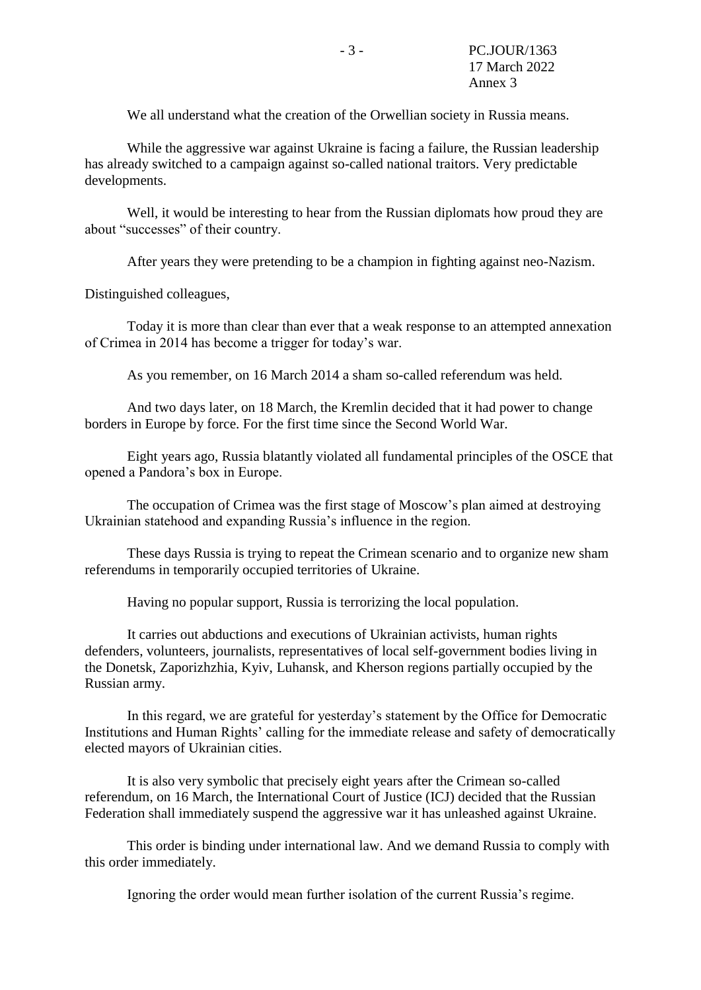We all understand what the creation of the Orwellian society in Russia means.

While the aggressive war against Ukraine is facing a failure, the Russian leadership has already switched to a campaign against so-called national traitors. Very predictable developments.

Well, it would be interesting to hear from the Russian diplomats how proud they are about "successes" of their country.

After years they were pretending to be a champion in fighting against neo-Nazism.

Distinguished colleagues,

Today it is more than clear than ever that a weak response to an attempted annexation of Crimea in 2014 has become a trigger for today's war.

As you remember, on 16 March 2014 a sham so-called referendum was held.

And two days later, on 18 March, the Kremlin decided that it had power to change borders in Europe by force. For the first time since the Second World War.

Eight years ago, Russia blatantly violated all fundamental principles of the OSCE that opened a Pandora's box in Europe.

The occupation of Crimea was the first stage of Moscow's plan aimed at destroying Ukrainian statehood and expanding Russia's influence in the region.

These days Russia is trying to repeat the Crimean scenario and to organize new sham referendums in temporarily occupied territories of Ukraine.

Having no popular support, Russia is terrorizing the local population.

It carries out abductions and executions of Ukrainian activists, human rights defenders, volunteers, journalists, representatives of local self-government bodies living in the Donetsk, Zaporizhzhia, Kyiv, Luhansk, and Kherson regions partially occupied by the Russian army.

In this regard, we are grateful for yesterday's statement by the Office for Democratic Institutions and Human Rights' calling for the immediate release and safety of democratically elected mayors of Ukrainian cities.

It is also very symbolic that precisely eight years after the Crimean so-called referendum, on 16 March, the International Court of Justice (ICJ) decided that the Russian Federation shall immediately suspend the aggressive war it has unleashed against Ukraine.

This order is binding under international law. And we demand Russia to comply with this order immediately.

Ignoring the order would mean further isolation of the current Russia's regime.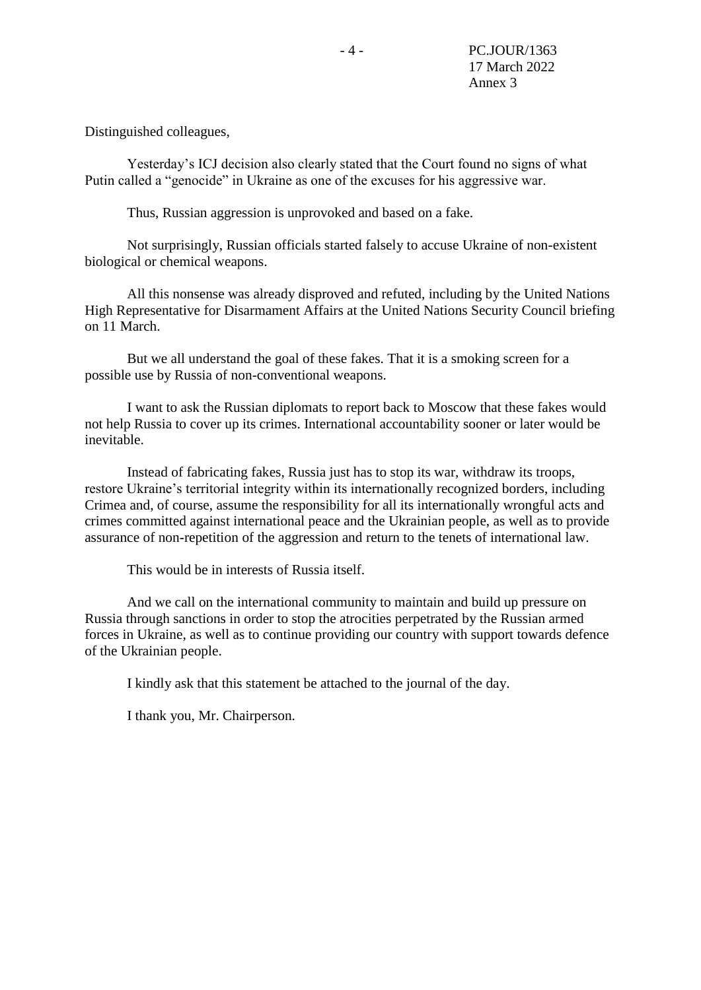Distinguished colleagues,

Yesterday's ICJ decision also clearly stated that the Court found no signs of what Putin called a "genocide" in Ukraine as one of the excuses for his aggressive war.

Thus, Russian aggression is unprovoked and based on a fake.

Not surprisingly, Russian officials started falsely to accuse Ukraine of non-existent biological or chemical weapons.

All this nonsense was already disproved and refuted, including by the United Nations High Representative for Disarmament Affairs at the United Nations Security Council briefing on 11 March.

But we all understand the goal of these fakes. That it is a smoking screen for a possible use by Russia of non-conventional weapons.

I want to ask the Russian diplomats to report back to Moscow that these fakes would not help Russia to cover up its crimes. International accountability sooner or later would be inevitable.

Instead of fabricating fakes, Russia just has to stop its war, withdraw its troops, restore Ukraine's territorial integrity within its internationally recognized borders, including Crimea and, of course, assume the responsibility for all its internationally wrongful acts and crimes committed against international peace and the Ukrainian people, as well as to provide assurance of non-repetition of the aggression and return to the tenets of international law.

This would be in interests of Russia itself.

And we call on the international community to maintain and build up pressure on Russia through sanctions in order to stop the atrocities perpetrated by the Russian armed forces in Ukraine, as well as to continue providing our country with support towards defence of the Ukrainian people.

I kindly ask that this statement be attached to the journal of the day.

I thank you, Mr. Chairperson.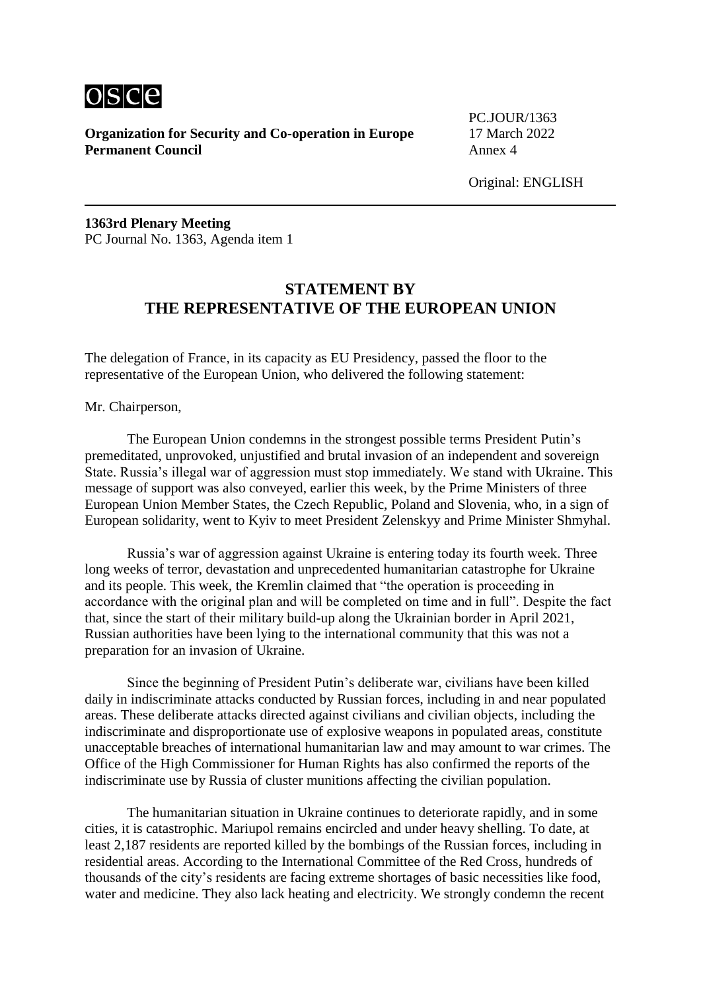

PC.JOUR/1363

Original: ENGLISH

**1363rd Plenary Meeting** PC Journal No. 1363, Agenda item 1

### **STATEMENT BY THE REPRESENTATIVE OF THE EUROPEAN UNION**

The delegation of France, in its capacity as EU Presidency, passed the floor to the representative of the European Union, who delivered the following statement:

Mr. Chairperson,

The European Union condemns in the strongest possible terms President Putin's premeditated, unprovoked, unjustified and brutal invasion of an independent and sovereign State. Russia's illegal war of aggression must stop immediately. We stand with Ukraine. This message of support was also conveyed, earlier this week, by the Prime Ministers of three European Union Member States, the Czech Republic, Poland and Slovenia, who, in a sign of European solidarity, went to Kyiv to meet President Zelenskyy and Prime Minister Shmyhal.

Russia's war of aggression against Ukraine is entering today its fourth week. Three long weeks of terror, devastation and unprecedented humanitarian catastrophe for Ukraine and its people. This week, the Kremlin claimed that "the operation is proceeding in accordance with the original plan and will be completed on time and in full". Despite the fact that, since the start of their military build-up along the Ukrainian border in April 2021, Russian authorities have been lying to the international community that this was not a preparation for an invasion of Ukraine.

Since the beginning of President Putin's deliberate war, civilians have been killed daily in indiscriminate attacks conducted by Russian forces, including in and near populated areas. These deliberate attacks directed against civilians and civilian objects, including the indiscriminate and disproportionate use of explosive weapons in populated areas, constitute unacceptable breaches of international humanitarian law and may amount to war crimes. The Office of the High Commissioner for Human Rights has also confirmed the reports of the indiscriminate use by Russia of cluster munitions affecting the civilian population.

The humanitarian situation in Ukraine continues to deteriorate rapidly, and in some cities, it is catastrophic. Mariupol remains encircled and under heavy shelling. To date, at least 2,187 residents are reported killed by the bombings of the Russian forces, including in residential areas. According to the International Committee of the Red Cross, hundreds of thousands of the city's residents are facing extreme shortages of basic necessities like food, water and medicine. They also lack heating and electricity. We strongly condemn the recent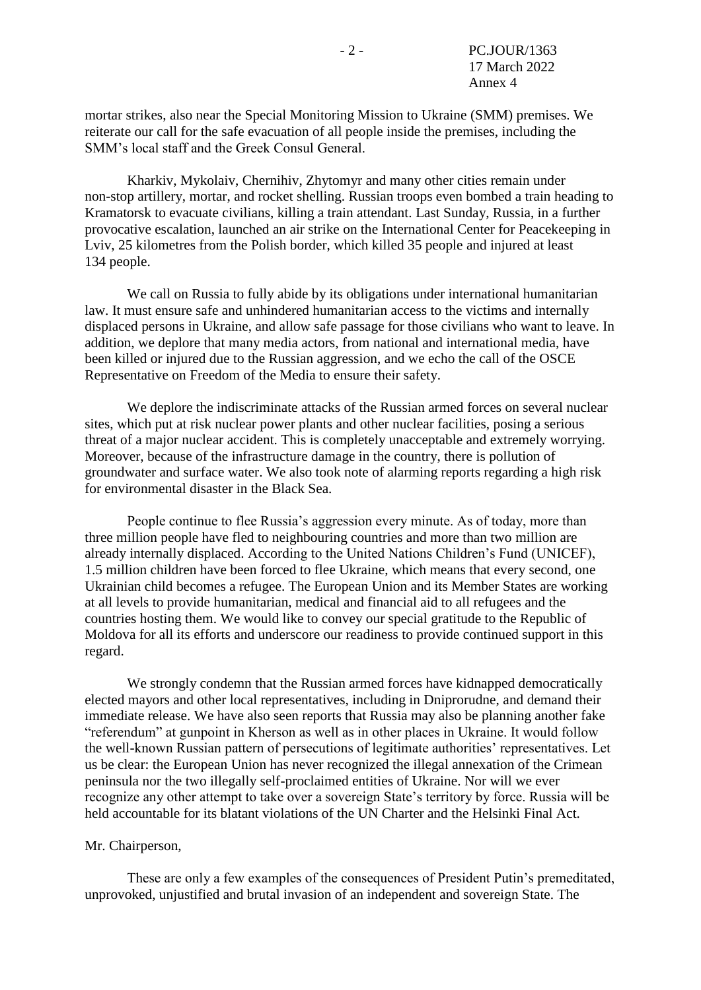mortar strikes, also near the Special Monitoring Mission to Ukraine (SMM) premises. We reiterate our call for the safe evacuation of all people inside the premises, including the SMM's local staff and the Greek Consul General.

Kharkiv, Mykolaiv, Chernihiv, Zhytomyr and many other cities remain under non-stop artillery, mortar, and rocket shelling. Russian troops even bombed a train heading to Kramatorsk to evacuate civilians, killing a train attendant. Last Sunday, Russia, in a further provocative escalation, launched an air strike on the International Center for Peacekeeping in Lviv, 25 kilometres from the Polish border, which killed 35 people and injured at least 134 people.

We call on Russia to fully abide by its obligations under international humanitarian law. It must ensure safe and unhindered humanitarian access to the victims and internally displaced persons in Ukraine, and allow safe passage for those civilians who want to leave. In addition, we deplore that many media actors, from national and international media, have been killed or injured due to the Russian aggression, and we echo the call of the OSCE Representative on Freedom of the Media to ensure their safety.

We deplore the indiscriminate attacks of the Russian armed forces on several nuclear sites, which put at risk nuclear power plants and other nuclear facilities, posing a serious threat of a major nuclear accident. This is completely unacceptable and extremely worrying. Moreover, because of the infrastructure damage in the country, there is pollution of groundwater and surface water. We also took note of alarming reports regarding a high risk for environmental disaster in the Black Sea.

People continue to flee Russia's aggression every minute. As of today, more than three million people have fled to neighbouring countries and more than two million are already internally displaced. According to the United Nations Children's Fund (UNICEF), 1.5 million children have been forced to flee Ukraine, which means that every second, one Ukrainian child becomes a refugee. The European Union and its Member States are working at all levels to provide humanitarian, medical and financial aid to all refugees and the countries hosting them. We would like to convey our special gratitude to the Republic of Moldova for all its efforts and underscore our readiness to provide continued support in this regard.

We strongly condemn that the Russian armed forces have kidnapped democratically elected mayors and other local representatives, including in Dniprorudne, and demand their immediate release. We have also seen reports that Russia may also be planning another fake "referendum" at gunpoint in Kherson as well as in other places in Ukraine. It would follow the well-known Russian pattern of persecutions of legitimate authorities' representatives. Let us be clear: the European Union has never recognized the illegal annexation of the Crimean peninsula nor the two illegally self-proclaimed entities of Ukraine. Nor will we ever recognize any other attempt to take over a sovereign State's territory by force. Russia will be held accountable for its blatant violations of the UN Charter and the Helsinki Final Act.

#### Mr. Chairperson,

These are only a few examples of the consequences of President Putin's premeditated, unprovoked, unjustified and brutal invasion of an independent and sovereign State. The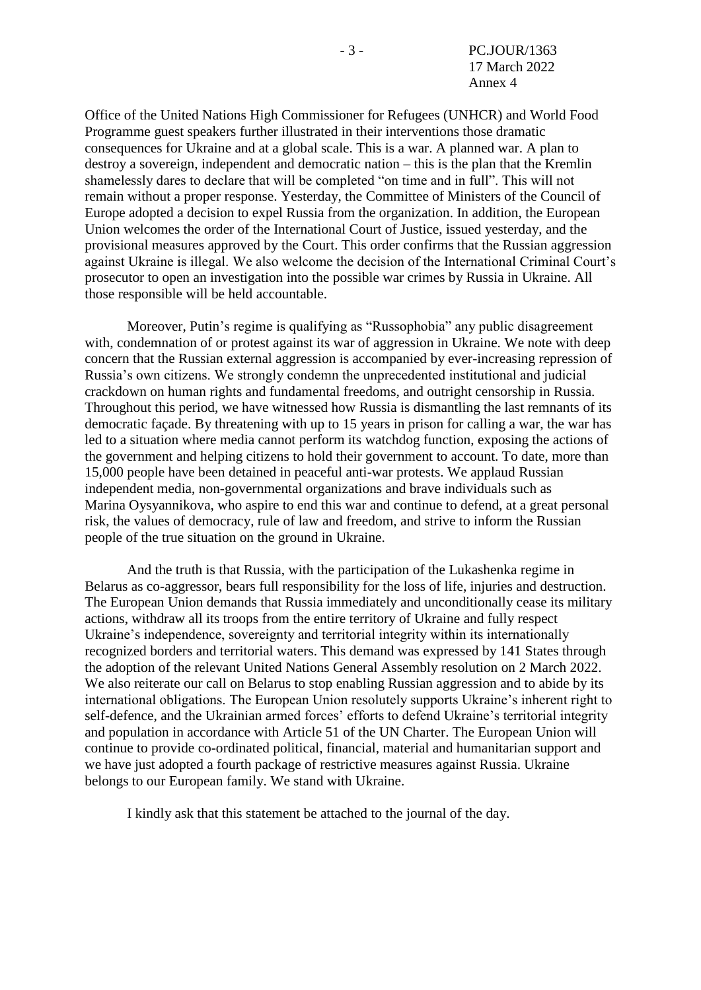Office of the United Nations High Commissioner for Refugees (UNHCR) and World Food Programme guest speakers further illustrated in their interventions those dramatic consequences for Ukraine and at a global scale. This is a war. A planned war. A plan to destroy a sovereign, independent and democratic nation – this is the plan that the Kremlin shamelessly dares to declare that will be completed "on time and in full". This will not remain without a proper response. Yesterday, the Committee of Ministers of the Council of Europe adopted a decision to expel Russia from the organization. In addition, the European Union welcomes the order of the International Court of Justice, issued yesterday, and the provisional measures approved by the Court. This order confirms that the Russian aggression against Ukraine is illegal. We also welcome the decision of the International Criminal Court's prosecutor to open an investigation into the possible war crimes by Russia in Ukraine. All those responsible will be held accountable.

Moreover, Putin's regime is qualifying as "Russophobia" any public disagreement with, condemnation of or protest against its war of aggression in Ukraine. We note with deep concern that the Russian external aggression is accompanied by ever-increasing repression of Russia's own citizens. We strongly condemn the unprecedented institutional and judicial crackdown on human rights and fundamental freedoms, and outright censorship in Russia. Throughout this period, we have witnessed how Russia is dismantling the last remnants of its democratic façade. By threatening with up to 15 years in prison for calling a war, the war has led to a situation where media cannot perform its watchdog function, exposing the actions of the government and helping citizens to hold their government to account. To date, more than 15,000 people have been detained in peaceful anti-war protests. We applaud Russian independent media, non-governmental organizations and brave individuals such as Marina Oysyannikova, who aspire to end this war and continue to defend, at a great personal risk, the values of democracy, rule of law and freedom, and strive to inform the Russian people of the true situation on the ground in Ukraine.

And the truth is that Russia, with the participation of the Lukashenka regime in Belarus as co-aggressor, bears full responsibility for the loss of life, injuries and destruction. The European Union demands that Russia immediately and unconditionally cease its military actions, withdraw all its troops from the entire territory of Ukraine and fully respect Ukraine's independence, sovereignty and territorial integrity within its internationally recognized borders and territorial waters. This demand was expressed by 141 States through the adoption of the relevant United Nations General Assembly resolution on 2 March 2022. We also reiterate our call on Belarus to stop enabling Russian aggression and to abide by its international obligations. The European Union resolutely supports Ukraine's inherent right to self-defence, and the Ukrainian armed forces' efforts to defend Ukraine's territorial integrity and population in accordance with Article 51 of the UN Charter. The European Union will continue to provide co-ordinated political, financial, material and humanitarian support and we have just adopted a fourth package of restrictive measures against Russia. Ukraine belongs to our European family. We stand with Ukraine.

I kindly ask that this statement be attached to the journal of the day.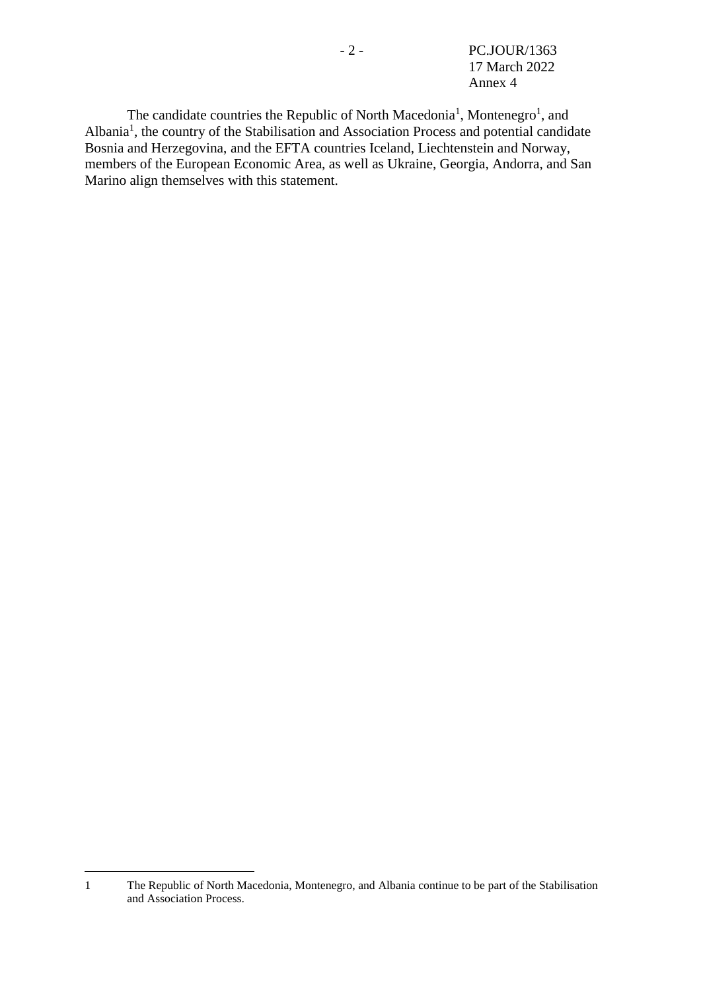<span id="page-12-0"></span>- 2 - PC.JOUR/1363 17 March 2022 Annex 4

The candidate countries the Republic of North Macedonia<sup>[1](#page-12-0)</sup>, Montenegro<sup>1</sup>, and Albania<sup>[1](#page-12-0)</sup>, the country of the Stabilisation and Association Process and potential candidate Bosnia and Herzegovina, and the EFTA countries Iceland, Liechtenstein and Norway, members of the European Economic Area, as well as Ukraine, Georgia, Andorra, and San Marino align themselves with this statement.

1

<sup>1</sup> The Republic of North Macedonia, Montenegro, and Albania continue to be part of the Stabilisation and Association Process.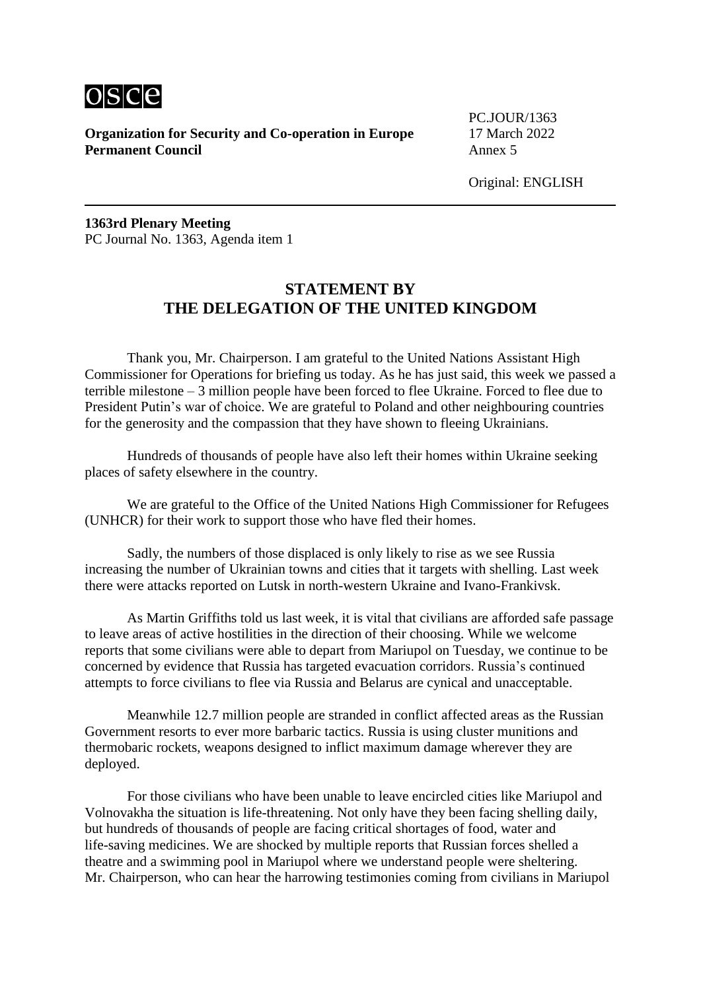

PC.JOUR/1363

Original: ENGLISH

**1363rd Plenary Meeting** PC Journal No. 1363, Agenda item 1

### **STATEMENT BY THE DELEGATION OF THE UNITED KINGDOM**

Thank you, Mr. Chairperson. I am grateful to the United Nations Assistant High Commissioner for Operations for briefing us today. As he has just said, this week we passed a terrible milestone – 3 million people have been forced to flee Ukraine. Forced to flee due to President Putin's war of choice. We are grateful to Poland and other neighbouring countries for the generosity and the compassion that they have shown to fleeing Ukrainians.

Hundreds of thousands of people have also left their homes within Ukraine seeking places of safety elsewhere in the country.

We are grateful to the Office of the United Nations High Commissioner for Refugees (UNHCR) for their work to support those who have fled their homes.

Sadly, the numbers of those displaced is only likely to rise as we see Russia increasing the number of Ukrainian towns and cities that it targets with shelling. Last week there were attacks reported on Lutsk in north-western Ukraine and Ivano-Frankivsk.

As Martin Griffiths told us last week, it is vital that civilians are afforded safe passage to leave areas of active hostilities in the direction of their choosing. While we welcome reports that some civilians were able to depart from Mariupol on Tuesday, we continue to be concerned by evidence that Russia has targeted evacuation corridors. Russia's continued attempts to force civilians to flee via Russia and Belarus are cynical and unacceptable.

Meanwhile 12.7 million people are stranded in conflict affected areas as the Russian Government resorts to ever more barbaric tactics. Russia is using cluster munitions and thermobaric rockets, weapons designed to inflict maximum damage wherever they are deployed.

For those civilians who have been unable to leave encircled cities like Mariupol and Volnovakha the situation is life-threatening. Not only have they been facing shelling daily, but hundreds of thousands of people are facing critical shortages of food, water and life-saving medicines. We are shocked by multiple reports that Russian forces shelled a theatre and a swimming pool in Mariupol where we understand people were sheltering. Mr. Chairperson, who can hear the harrowing testimonies coming from civilians in Mariupol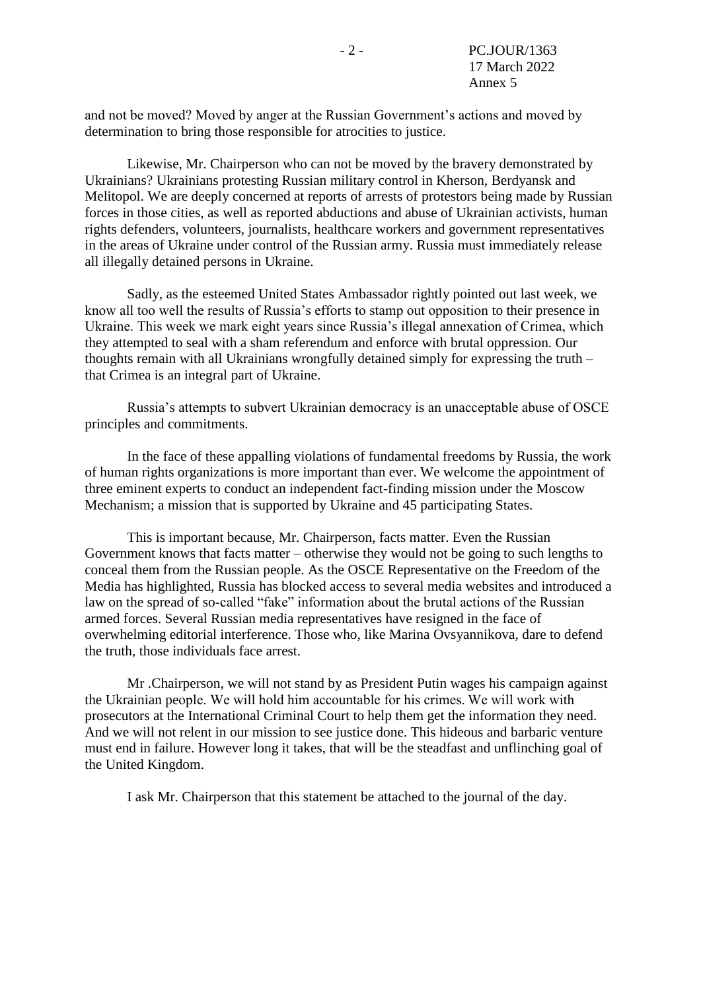and not be moved? Moved by anger at the Russian Government's actions and moved by determination to bring those responsible for atrocities to justice.

Likewise, Mr. Chairperson who can not be moved by the bravery demonstrated by Ukrainians? Ukrainians protesting Russian military control in Kherson, Berdyansk and Melitopol. We are deeply concerned at reports of arrests of protestors being made by Russian forces in those cities, as well as reported abductions and abuse of Ukrainian activists, human rights defenders, volunteers, journalists, healthcare workers and government representatives in the areas of Ukraine under control of the Russian army. Russia must immediately release all illegally detained persons in Ukraine.

Sadly, as the esteemed United States Ambassador rightly pointed out last week, we know all too well the results of Russia's efforts to stamp out opposition to their presence in Ukraine. This week we mark eight years since Russia's illegal annexation of Crimea, which they attempted to seal with a sham referendum and enforce with brutal oppression. Our thoughts remain with all Ukrainians wrongfully detained simply for expressing the truth – that Crimea is an integral part of Ukraine.

Russia's attempts to subvert Ukrainian democracy is an unacceptable abuse of OSCE principles and commitments.

In the face of these appalling violations of fundamental freedoms by Russia, the work of human rights organizations is more important than ever. We welcome the appointment of three eminent experts to conduct an independent fact-finding mission under the Moscow Mechanism; a mission that is supported by Ukraine and 45 participating States.

This is important because, Mr. Chairperson, facts matter. Even the Russian Government knows that facts matter – otherwise they would not be going to such lengths to conceal them from the Russian people. As the OSCE Representative on the Freedom of the Media has highlighted, Russia has blocked access to several media websites and introduced a law on the spread of so-called "fake" information about the brutal actions of the Russian armed forces. Several Russian media representatives have resigned in the face of overwhelming editorial interference. Those who, like Marina Ovsyannikova, dare to defend the truth, those individuals face arrest.

Mr .Chairperson, we will not stand by as President Putin wages his campaign against the Ukrainian people. We will hold him accountable for his crimes. We will work with prosecutors at the International Criminal Court to help them get the information they need. And we will not relent in our mission to see justice done. This hideous and barbaric venture must end in failure. However long it takes, that will be the steadfast and unflinching goal of the United Kingdom.

I ask Mr. Chairperson that this statement be attached to the journal of the day.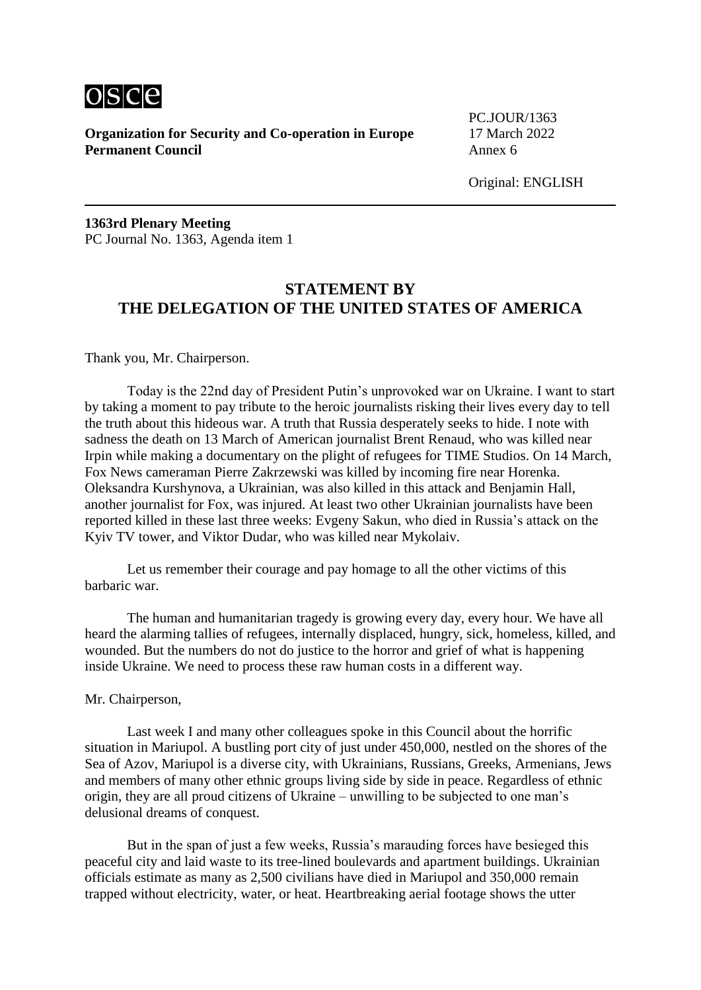

PC.JOUR/1363

**1363rd Plenary Meeting** PC Journal No. 1363, Agenda item 1

# **STATEMENT BY THE DELEGATION OF THE UNITED STATES OF AMERICA**

Thank you, Mr. Chairperson.

Today is the 22nd day of President Putin's unprovoked war on Ukraine. I want to start by taking a moment to pay tribute to the heroic journalists risking their lives every day to tell the truth about this hideous war. A truth that Russia desperately seeks to hide. I note with sadness the death on 13 March of American journalist Brent Renaud, who was killed near Irpin while making a documentary on the plight of refugees for TIME Studios. On 14 March, Fox News cameraman Pierre Zakrzewski was killed by incoming fire near Horenka. Oleksandra Kurshynova, a Ukrainian, was also killed in this attack and Benjamin Hall, another journalist for Fox, was injured. At least two other Ukrainian journalists have been reported killed in these last three weeks: Evgeny Sakun, who died in Russia's attack on the Kyiv TV tower, and Viktor Dudar, who was killed near Mykolaiv.

Let us remember their courage and pay homage to all the other victims of this barbaric war.

The human and humanitarian tragedy is growing every day, every hour. We have all heard the alarming tallies of refugees, internally displaced, hungry, sick, homeless, killed, and wounded. But the numbers do not do justice to the horror and grief of what is happening inside Ukraine. We need to process these raw human costs in a different way.

#### Mr. Chairperson,

Last week I and many other colleagues spoke in this Council about the horrific situation in Mariupol. A bustling port city of just under 450,000, nestled on the shores of the Sea of Azov, Mariupol is a diverse city, with Ukrainians, Russians, Greeks, Armenians, Jews and members of many other ethnic groups living side by side in peace. Regardless of ethnic origin, they are all proud citizens of Ukraine – unwilling to be subjected to one man's delusional dreams of conquest.

But in the span of just a few weeks, Russia's marauding forces have besieged this peaceful city and laid waste to its tree-lined boulevards and apartment buildings. Ukrainian officials estimate as many as 2,500 civilians have died in Mariupol and 350,000 remain trapped without electricity, water, or heat. Heartbreaking aerial footage shows the utter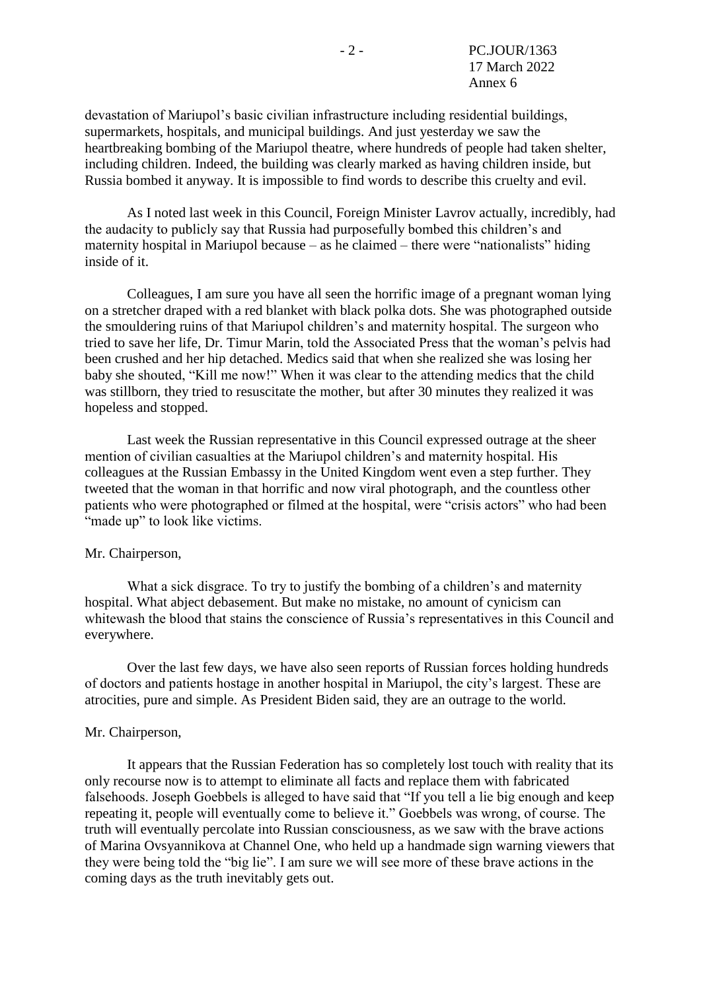devastation of Mariupol's basic civilian infrastructure including residential buildings, supermarkets, hospitals, and municipal buildings. And just yesterday we saw the heartbreaking bombing of the Mariupol theatre, where hundreds of people had taken shelter, including children. Indeed, the building was clearly marked as having children inside, but Russia bombed it anyway. It is impossible to find words to describe this cruelty and evil.

As I noted last week in this Council, Foreign Minister Lavrov actually, incredibly, had the audacity to publicly say that Russia had purposefully bombed this children's and maternity hospital in Mariupol because – as he claimed – there were "nationalists" hiding inside of it.

Colleagues, I am sure you have all seen the horrific image of a pregnant woman lying on a stretcher draped with a red blanket with black polka dots. She was photographed outside the smouldering ruins of that Mariupol children's and maternity hospital. The surgeon who tried to save her life, Dr. Timur Marin, told the Associated Press that the woman's pelvis had been crushed and her hip detached. Medics said that when she realized she was losing her baby she shouted, "Kill me now!" When it was clear to the attending medics that the child was stillborn, they tried to resuscitate the mother, but after 30 minutes they realized it was hopeless and stopped.

Last week the Russian representative in this Council expressed outrage at the sheer mention of civilian casualties at the Mariupol children's and maternity hospital. His colleagues at the Russian Embassy in the United Kingdom went even a step further. They tweeted that the woman in that horrific and now viral photograph, and the countless other patients who were photographed or filmed at the hospital, were "crisis actors" who had been "made up" to look like victims.

#### Mr. Chairperson,

What a sick disgrace. To try to justify the bombing of a children's and maternity hospital. What abject debasement. But make no mistake, no amount of cynicism can whitewash the blood that stains the conscience of Russia's representatives in this Council and everywhere.

Over the last few days, we have also seen reports of Russian forces holding hundreds of doctors and patients hostage in another hospital in Mariupol, the city's largest. These are atrocities, pure and simple. As President Biden said, they are an outrage to the world.

#### Mr. Chairperson,

It appears that the Russian Federation has so completely lost touch with reality that its only recourse now is to attempt to eliminate all facts and replace them with fabricated falsehoods. Joseph Goebbels is alleged to have said that "If you tell a lie big enough and keep repeating it, people will eventually come to believe it." Goebbels was wrong, of course. The truth will eventually percolate into Russian consciousness, as we saw with the brave actions of Marina Ovsyannikova at Channel One, who held up a handmade sign warning viewers that they were being told the "big lie". I am sure we will see more of these brave actions in the coming days as the truth inevitably gets out.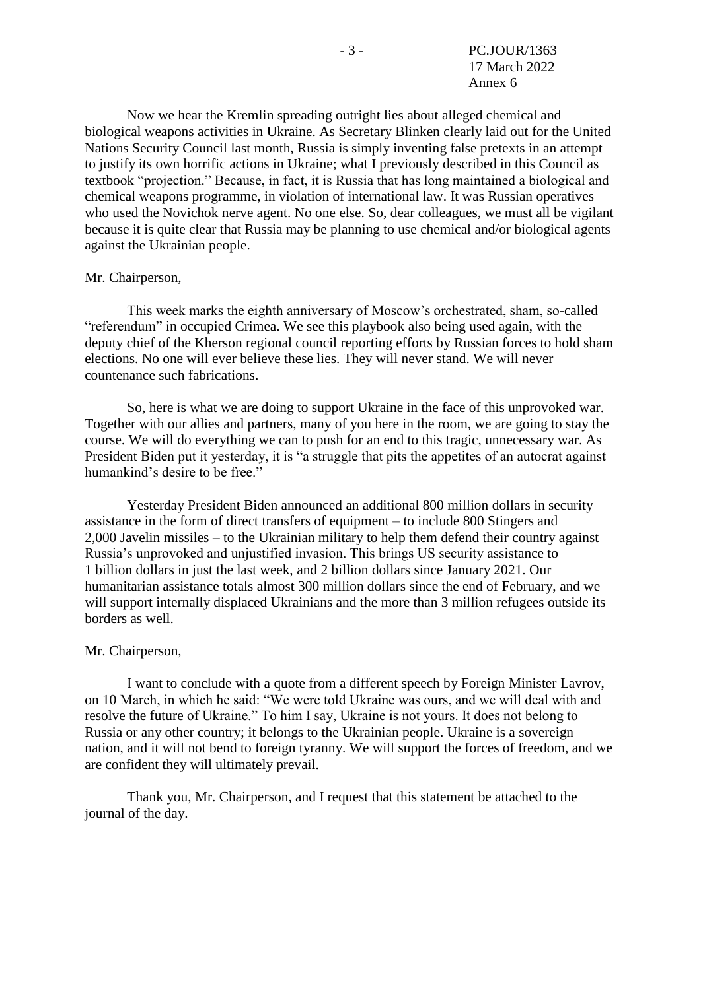Now we hear the Kremlin spreading outright lies about alleged chemical and biological weapons activities in Ukraine. As Secretary Blinken clearly laid out for the United Nations Security Council last month, Russia is simply inventing false pretexts in an attempt to justify its own horrific actions in Ukraine; what I previously described in this Council as textbook "projection." Because, in fact, it is Russia that has long maintained a biological and chemical weapons programme, in violation of international law. It was Russian operatives who used the Novichok nerve agent. No one else. So, dear colleagues, we must all be vigilant because it is quite clear that Russia may be planning to use chemical and/or biological agents against the Ukrainian people.

#### Mr. Chairperson,

This week marks the eighth anniversary of Moscow's orchestrated, sham, so-called "referendum" in occupied Crimea. We see this playbook also being used again, with the deputy chief of the Kherson regional council reporting efforts by Russian forces to hold sham elections. No one will ever believe these lies. They will never stand. We will never countenance such fabrications.

So, here is what we are doing to support Ukraine in the face of this unprovoked war. Together with our allies and partners, many of you here in the room, we are going to stay the course. We will do everything we can to push for an end to this tragic, unnecessary war. As President Biden put it yesterday, it is "a struggle that pits the appetites of an autocrat against humankind's desire to be free."

Yesterday President Biden announced an additional 800 million dollars in security assistance in the form of direct transfers of equipment – to include 800 Stingers and 2,000 Javelin missiles – to the Ukrainian military to help them defend their country against Russia's unprovoked and unjustified invasion. This brings US security assistance to 1 billion dollars in just the last week, and 2 billion dollars since January 2021. Our humanitarian assistance totals almost 300 million dollars since the end of February, and we will support internally displaced Ukrainians and the more than 3 million refugees outside its borders as well.

#### Mr. Chairperson,

I want to conclude with a quote from a different speech by Foreign Minister Lavrov, on 10 March, in which he said: "We were told Ukraine was ours, and we will deal with and resolve the future of Ukraine." To him I say, Ukraine is not yours. It does not belong to Russia or any other country; it belongs to the Ukrainian people. Ukraine is a sovereign nation, and it will not bend to foreign tyranny. We will support the forces of freedom, and we are confident they will ultimately prevail.

Thank you, Mr. Chairperson, and I request that this statement be attached to the journal of the day.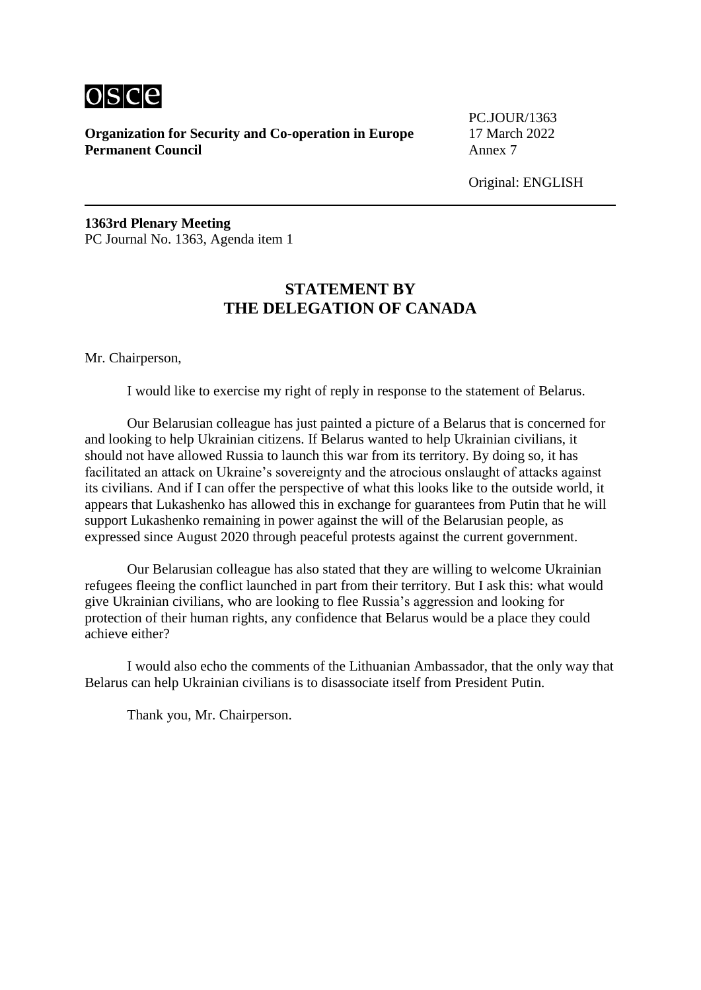

PC.JOUR/1363

Original: ENGLISH

**1363rd Plenary Meeting** PC Journal No. 1363, Agenda item 1

# **STATEMENT BY THE DELEGATION OF CANADA**

Mr. Chairperson,

I would like to exercise my right of reply in response to the statement of Belarus.

Our Belarusian colleague has just painted a picture of a Belarus that is concerned for and looking to help Ukrainian citizens. If Belarus wanted to help Ukrainian civilians, it should not have allowed Russia to launch this war from its territory. By doing so, it has facilitated an attack on Ukraine's sovereignty and the atrocious onslaught of attacks against its civilians. And if I can offer the perspective of what this looks like to the outside world, it appears that Lukashenko has allowed this in exchange for guarantees from Putin that he will support Lukashenko remaining in power against the will of the Belarusian people, as expressed since August 2020 through peaceful protests against the current government.

Our Belarusian colleague has also stated that they are willing to welcome Ukrainian refugees fleeing the conflict launched in part from their territory. But I ask this: what would give Ukrainian civilians, who are looking to flee Russia's aggression and looking for protection of their human rights, any confidence that Belarus would be a place they could achieve either?

I would also echo the comments of the Lithuanian Ambassador, that the only way that Belarus can help Ukrainian civilians is to disassociate itself from President Putin.

Thank you, Mr. Chairperson.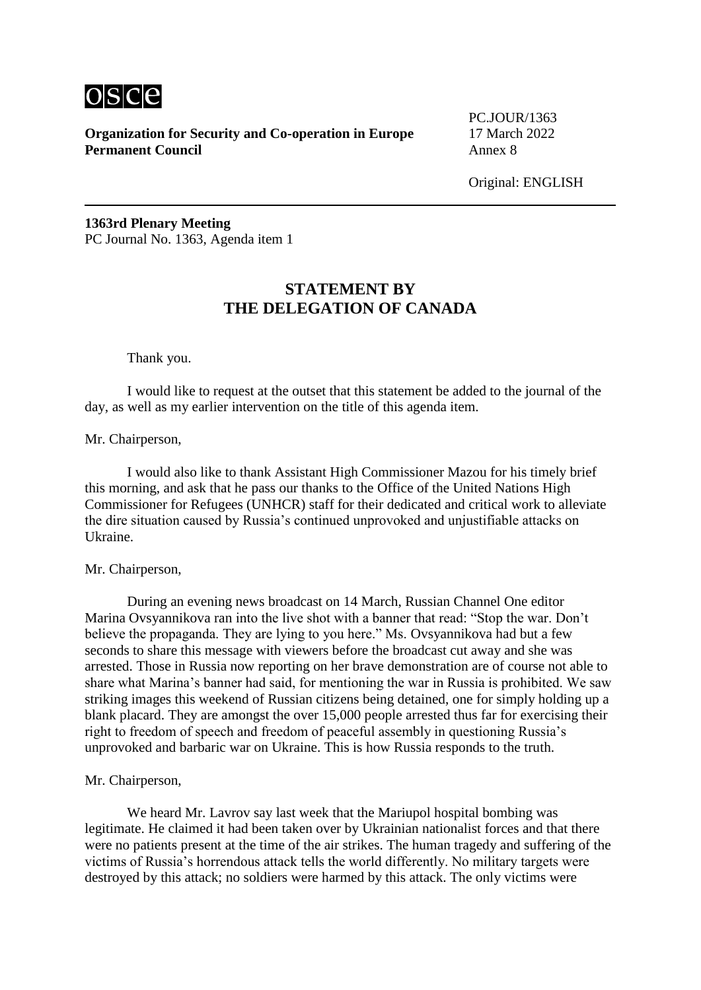

PC.JOUR/1363

Original: ENGLISH

**1363rd Plenary Meeting** PC Journal No. 1363, Agenda item 1

# **STATEMENT BY THE DELEGATION OF CANADA**

Thank you.

I would like to request at the outset that this statement be added to the journal of the day, as well as my earlier intervention on the title of this agenda item.

Mr. Chairperson,

I would also like to thank Assistant High Commissioner Mazou for his timely brief this morning, and ask that he pass our thanks to the Office of the United Nations High Commissioner for Refugees (UNHCR) staff for their dedicated and critical work to alleviate the dire situation caused by Russia's continued unprovoked and unjustifiable attacks on Ukraine.

#### Mr. Chairperson,

During an evening news broadcast on 14 March, Russian Channel One editor Marina Ovsyannikova ran into the live shot with a banner that read: "Stop the war. Don't believe the propaganda. They are lying to you here." Ms. Ovsyannikova had but a few seconds to share this message with viewers before the broadcast cut away and she was arrested. Those in Russia now reporting on her brave demonstration are of course not able to share what Marina's banner had said, for mentioning the war in Russia is prohibited. We saw striking images this weekend of Russian citizens being detained, one for simply holding up a blank placard. They are amongst the over 15,000 people arrested thus far for exercising their right to freedom of speech and freedom of peaceful assembly in questioning Russia's unprovoked and barbaric war on Ukraine. This is how Russia responds to the truth.

#### Mr. Chairperson,

We heard Mr. Lavrov say last week that the Mariupol hospital bombing was legitimate. He claimed it had been taken over by Ukrainian nationalist forces and that there were no patients present at the time of the air strikes. The human tragedy and suffering of the victims of Russia's horrendous attack tells the world differently. No military targets were destroyed by this attack; no soldiers were harmed by this attack. The only victims were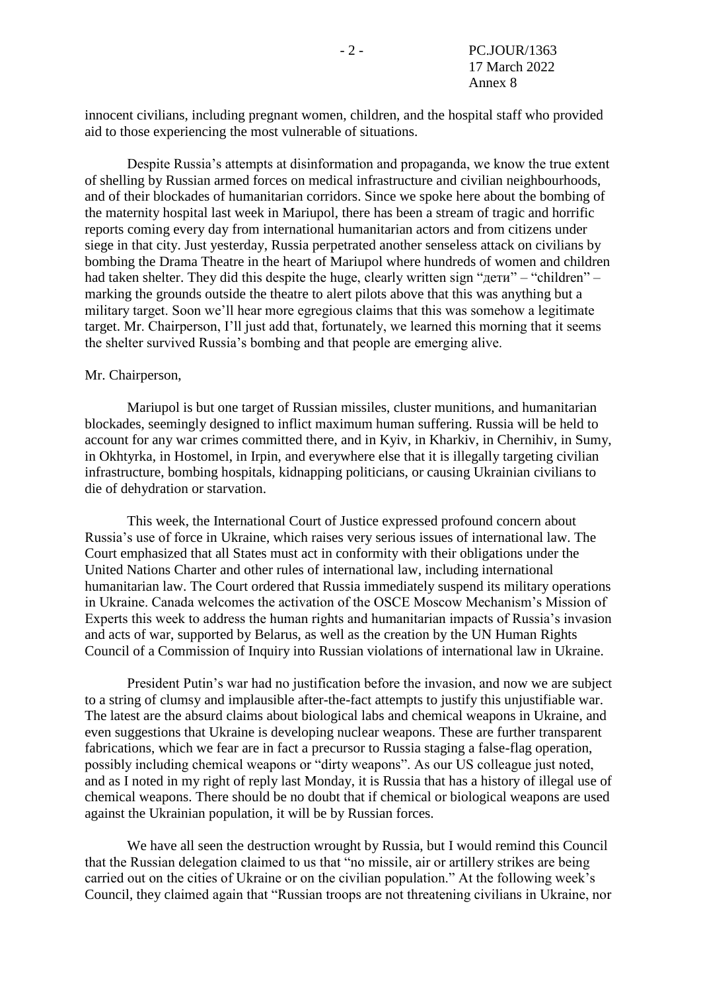innocent civilians, including pregnant women, children, and the hospital staff who provided aid to those experiencing the most vulnerable of situations.

Despite Russia's attempts at disinformation and propaganda, we know the true extent of shelling by Russian armed forces on medical infrastructure and civilian neighbourhoods, and of their blockades of humanitarian corridors. Since we spoke here about the bombing of the maternity hospital last week in Mariupol, there has been a stream of tragic and horrific reports coming every day from international humanitarian actors and from citizens under siege in that city. Just yesterday, Russia perpetrated another senseless attack on civilians by bombing the Drama Theatre in the heart of Mariupol where hundreds of women and children had taken shelter. They did this despite the huge, clearly written sign "дети" – "children" – marking the grounds outside the theatre to alert pilots above that this was anything but a military target. Soon we'll hear more egregious claims that this was somehow a legitimate target. Mr. Chairperson, I'll just add that, fortunately, we learned this morning that it seems the shelter survived Russia's bombing and that people are emerging alive.

#### Mr. Chairperson,

Mariupol is but one target of Russian missiles, cluster munitions, and humanitarian blockades, seemingly designed to inflict maximum human suffering. Russia will be held to account for any war crimes committed there, and in Kyiv, in Kharkiv, in Chernihiv, in Sumy, in Okhtyrka, in Hostomel, in Irpin, and everywhere else that it is illegally targeting civilian infrastructure, bombing hospitals, kidnapping politicians, or causing Ukrainian civilians to die of dehydration or starvation.

This week, the International Court of Justice expressed profound concern about Russia's use of force in Ukraine, which raises very serious issues of international law. The Court emphasized that all States must act in conformity with their obligations under the United Nations Charter and other rules of international law, including international humanitarian law. The Court ordered that Russia immediately suspend its military operations in Ukraine. Canada welcomes the activation of the OSCE Moscow Mechanism's Mission of Experts this week to address the human rights and humanitarian impacts of Russia's invasion and acts of war, supported by Belarus, as well as the creation by the UN Human Rights Council of a Commission of Inquiry into Russian violations of international law in Ukraine.

President Putin's war had no justification before the invasion, and now we are subject to a string of clumsy and implausible after-the-fact attempts to justify this unjustifiable war. The latest are the absurd claims about biological labs and chemical weapons in Ukraine, and even suggestions that Ukraine is developing nuclear weapons. These are further transparent fabrications, which we fear are in fact a precursor to Russia staging a false-flag operation, possibly including chemical weapons or "dirty weapons". As our US colleague just noted, and as I noted in my right of reply last Monday, it is Russia that has a history of illegal use of chemical weapons. There should be no doubt that if chemical or biological weapons are used against the Ukrainian population, it will be by Russian forces.

We have all seen the destruction wrought by Russia, but I would remind this Council that the Russian delegation claimed to us that "no missile, air or artillery strikes are being carried out on the cities of Ukraine or on the civilian population." At the following week's Council, they claimed again that "Russian troops are not threatening civilians in Ukraine, nor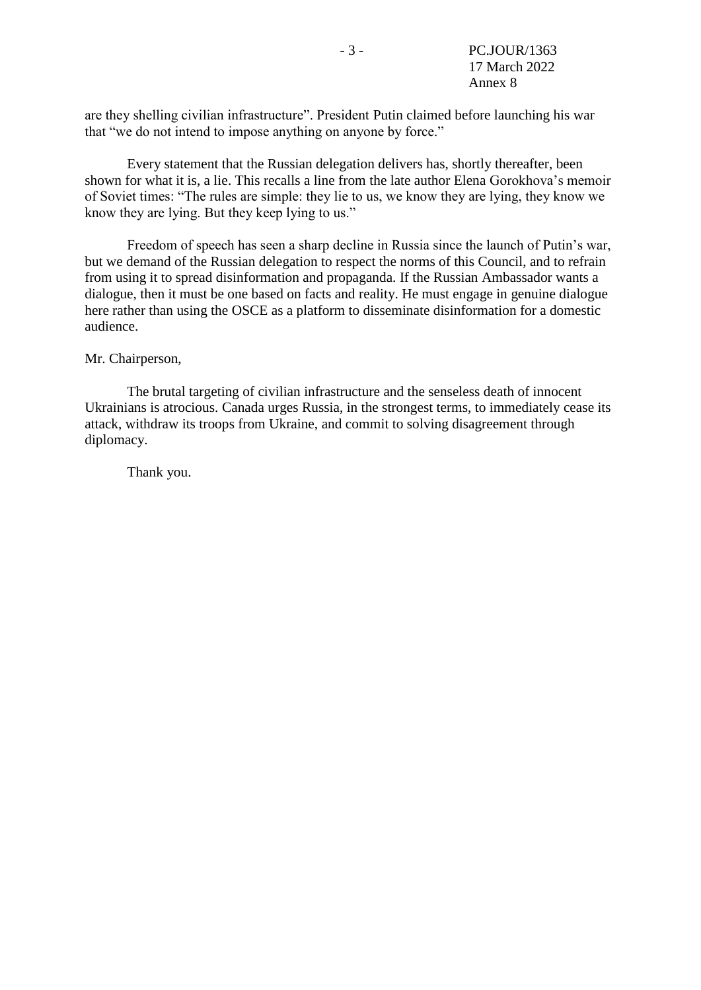are they shelling civilian infrastructure". President Putin claimed before launching his war that "we do not intend to impose anything on anyone by force."

Every statement that the Russian delegation delivers has, shortly thereafter, been shown for what it is, a lie. This recalls a line from the late author Elena Gorokhova's memoir of Soviet times: "The rules are simple: they lie to us, we know they are lying, they know we know they are lying. But they keep lying to us."

Freedom of speech has seen a sharp decline in Russia since the launch of Putin's war, but we demand of the Russian delegation to respect the norms of this Council, and to refrain from using it to spread disinformation and propaganda. If the Russian Ambassador wants a dialogue, then it must be one based on facts and reality. He must engage in genuine dialogue here rather than using the OSCE as a platform to disseminate disinformation for a domestic audience.

#### Mr. Chairperson,

The brutal targeting of civilian infrastructure and the senseless death of innocent Ukrainians is atrocious. Canada urges Russia, in the strongest terms, to immediately cease its attack, withdraw its troops from Ukraine, and commit to solving disagreement through diplomacy.

Thank you.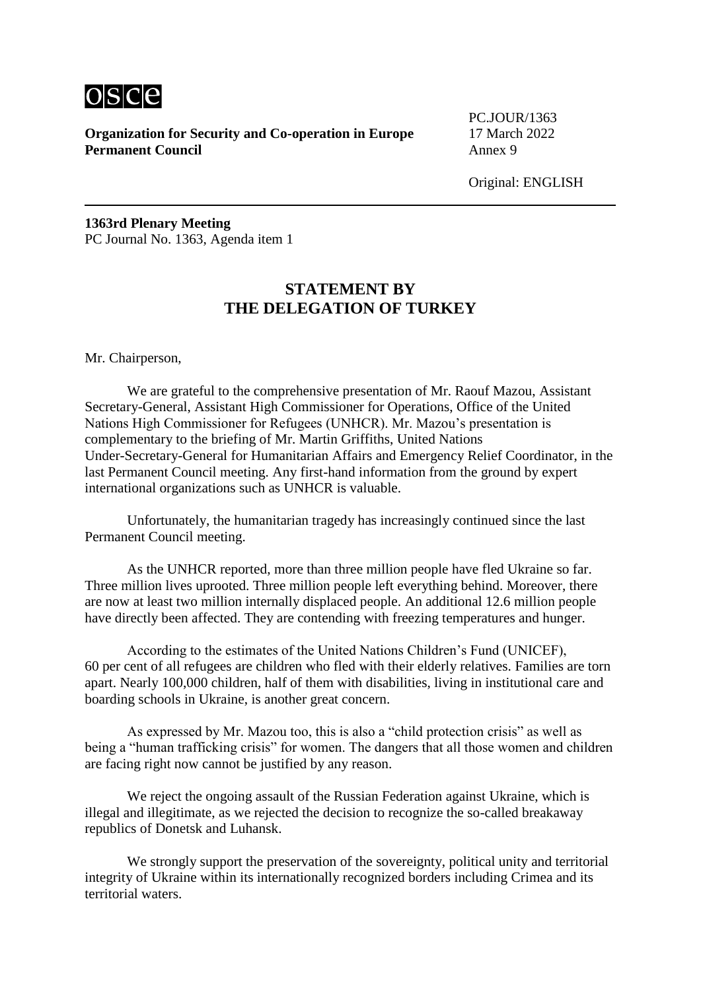

PC.JOUR/1363

Original: ENGLISH

**1363rd Plenary Meeting** PC Journal No. 1363, Agenda item 1

# **STATEMENT BY THE DELEGATION OF TURKEY**

Mr. Chairperson,

We are grateful to the comprehensive presentation of Mr. Raouf Mazou, Assistant Secretary-General, Assistant High Commissioner for Operations, Office of the United Nations High Commissioner for Refugees (UNHCR). Mr. Mazou's presentation is complementary to the briefing of Mr. Martin Griffiths, United Nations Under-Secretary-General for Humanitarian Affairs and Emergency Relief Coordinator, in the last Permanent Council meeting. Any first-hand information from the ground by expert international organizations such as UNHCR is valuable.

Unfortunately, the humanitarian tragedy has increasingly continued since the last Permanent Council meeting.

As the UNHCR reported, more than three million people have fled Ukraine so far. Three million lives uprooted. Three million people left everything behind. Moreover, there are now at least two million internally displaced people. An additional 12.6 million people have directly been affected. They are contending with freezing temperatures and hunger.

According to the estimates of the United Nations Children's Fund (UNICEF), 60 per cent of all refugees are children who fled with their elderly relatives. Families are torn apart. Nearly 100,000 children, half of them with disabilities, living in institutional care and boarding schools in Ukraine, is another great concern.

As expressed by Mr. Mazou too, this is also a "child protection crisis" as well as being a "human trafficking crisis" for women. The dangers that all those women and children are facing right now cannot be justified by any reason.

We reject the ongoing assault of the Russian Federation against Ukraine, which is illegal and illegitimate, as we rejected the decision to recognize the so-called breakaway republics of Donetsk and Luhansk.

We strongly support the preservation of the sovereignty, political unity and territorial integrity of Ukraine within its internationally recognized borders including Crimea and its territorial waters.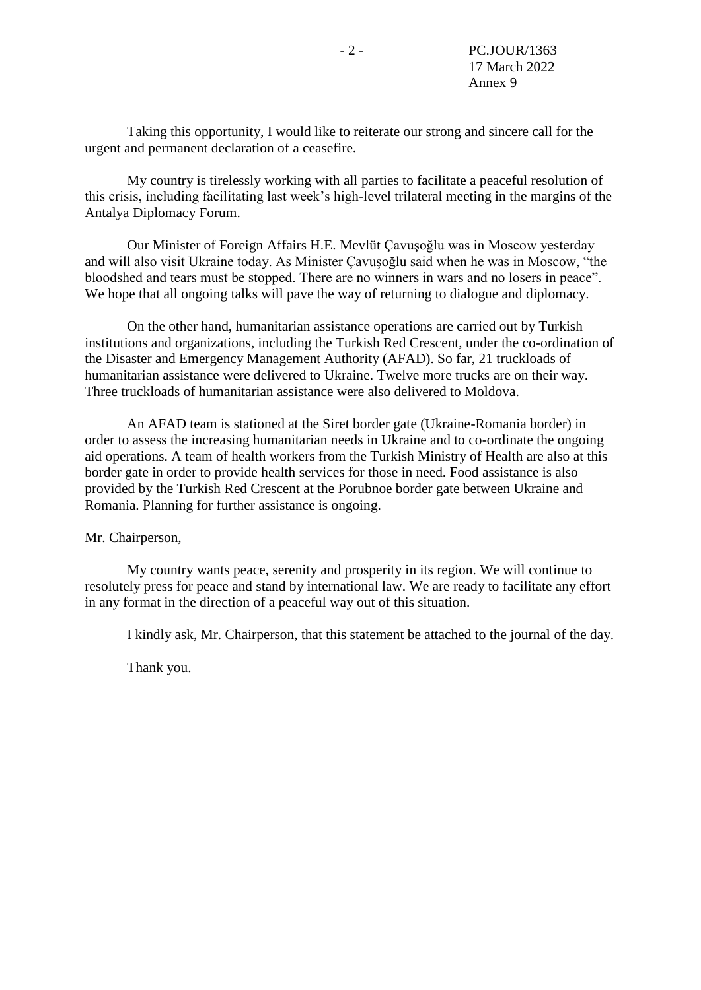Taking this opportunity, I would like to reiterate our strong and sincere call for the urgent and permanent declaration of a ceasefire.

My country is tirelessly working with all parties to facilitate a peaceful resolution of this crisis, including facilitating last week's high-level trilateral meeting in the margins of the Antalya Diplomacy Forum.

Our Minister of Foreign Affairs H.E. Mevlüt Çavuşoğlu was in Moscow yesterday and will also visit Ukraine today. As Minister Çavuşoğlu said when he was in Moscow, "the bloodshed and tears must be stopped. There are no winners in wars and no losers in peace". We hope that all ongoing talks will pave the way of returning to dialogue and diplomacy.

On the other hand, humanitarian assistance operations are carried out by Turkish institutions and organizations, including the Turkish Red Crescent, under the co-ordination of the Disaster and Emergency Management Authority (AFAD). So far, 21 truckloads of humanitarian assistance were delivered to Ukraine. Twelve more trucks are on their way. Three truckloads of humanitarian assistance were also delivered to Moldova.

An AFAD team is stationed at the Siret border gate (Ukraine-Romania border) in order to assess the increasing humanitarian needs in Ukraine and to co-ordinate the ongoing aid operations. A team of health workers from the Turkish Ministry of Health are also at this border gate in order to provide health services for those in need. Food assistance is also provided by the Turkish Red Crescent at the Porubnoe border gate between Ukraine and Romania. Planning for further assistance is ongoing.

Mr. Chairperson,

My country wants peace, serenity and prosperity in its region. We will continue to resolutely press for peace and stand by international law. We are ready to facilitate any effort in any format in the direction of a peaceful way out of this situation.

I kindly ask, Mr. Chairperson, that this statement be attached to the journal of the day.

Thank you.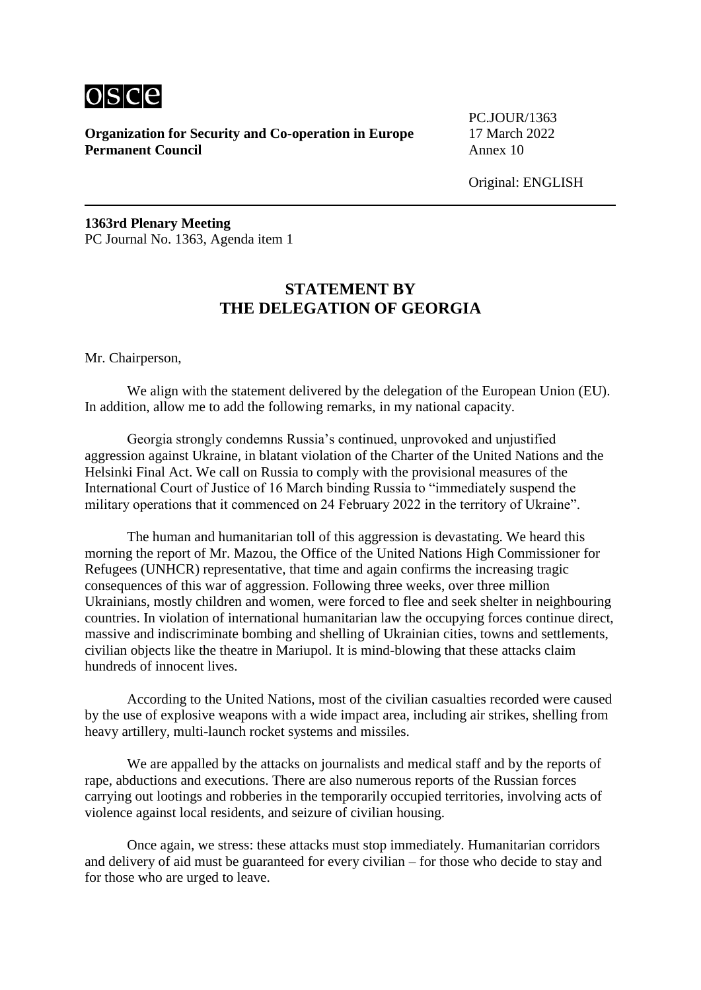

PC.JOUR/1363

Original: ENGLISH

**1363rd Plenary Meeting** PC Journal No. 1363, Agenda item 1

# **STATEMENT BY THE DELEGATION OF GEORGIA**

Mr. Chairperson,

We align with the statement delivered by the delegation of the European Union (EU). In addition, allow me to add the following remarks, in my national capacity.

Georgia strongly condemns Russia's continued, unprovoked and unjustified aggression against Ukraine, in blatant violation of the Charter of the United Nations and the Helsinki Final Act. We call on Russia to comply with the provisional measures of the International Court of Justice of 16 March binding Russia to "immediately suspend the military operations that it commenced on 24 February 2022 in the territory of Ukraine".

The human and humanitarian toll of this aggression is devastating. We heard this morning the report of Mr. Mazou, the Office of the United Nations High Commissioner for Refugees (UNHCR) representative, that time and again confirms the increasing tragic consequences of this war of aggression. Following three weeks, over three million Ukrainians, mostly children and women, were forced to flee and seek shelter in neighbouring countries. In violation of international humanitarian law the occupying forces continue direct, massive and indiscriminate bombing and shelling of Ukrainian cities, towns and settlements, civilian objects like the theatre in Mariupol. It is mind-blowing that these attacks claim hundreds of innocent lives.

According to the United Nations, most of the civilian casualties recorded were caused by the use of explosive weapons with a wide impact area, including air strikes, shelling from heavy artillery, multi-launch rocket systems and missiles.

We are appalled by the attacks on journalists and medical staff and by the reports of rape, abductions and executions. There are also numerous reports of the Russian forces carrying out lootings and robberies in the temporarily occupied territories, involving acts of violence against local residents, and seizure of civilian housing.

Once again, we stress: these attacks must stop immediately. Humanitarian corridors and delivery of aid must be guaranteed for every civilian – for those who decide to stay and for those who are urged to leave.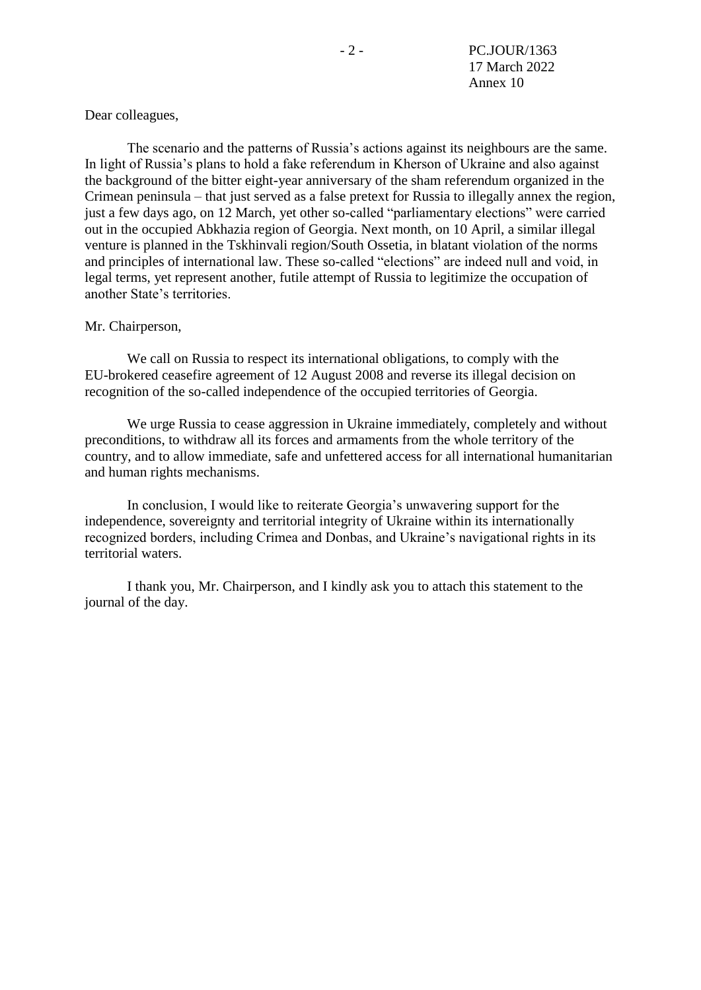Dear colleagues,

The scenario and the patterns of Russia's actions against its neighbours are the same. In light of Russia's plans to hold a fake referendum in Kherson of Ukraine and also against the background of the bitter eight-year anniversary of the sham referendum organized in the Crimean peninsula – that just served as a false pretext for Russia to illegally annex the region, just a few days ago, on 12 March, yet other so-called "parliamentary elections" were carried out in the occupied Abkhazia region of Georgia. Next month, on 10 April, a similar illegal venture is planned in the Tskhinvali region/South Ossetia, in blatant violation of the norms and principles of international law. These so-called "elections" are indeed null and void, in legal terms, yet represent another, futile attempt of Russia to legitimize the occupation of another State's territories.

#### Mr. Chairperson,

We call on Russia to respect its international obligations, to comply with the EU-brokered ceasefire agreement of 12 August 2008 and reverse its illegal decision on recognition of the so-called independence of the occupied territories of Georgia.

We urge Russia to cease aggression in Ukraine immediately, completely and without preconditions, to withdraw all its forces and armaments from the whole territory of the country, and to allow immediate, safe and unfettered access for all international humanitarian and human rights mechanisms.

In conclusion, I would like to reiterate Georgia's unwavering support for the independence, sovereignty and territorial integrity of Ukraine within its internationally recognized borders, including Crimea and Donbas, and Ukraine's navigational rights in its territorial waters.

I thank you, Mr. Chairperson, and I kindly ask you to attach this statement to the journal of the day.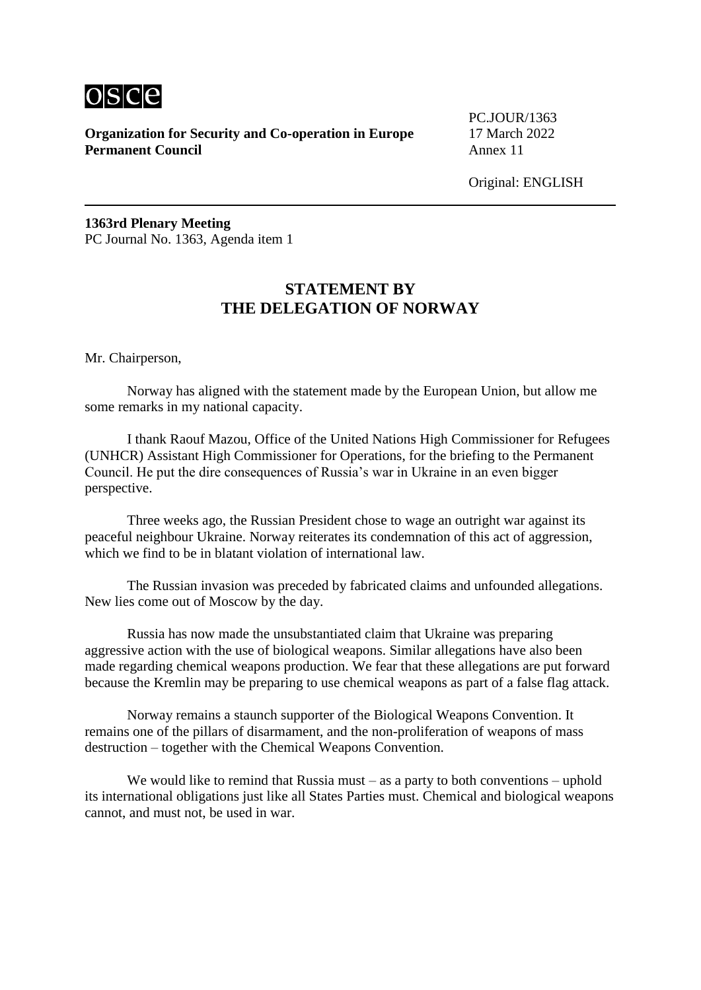

PC.JOUR/1363

Original: ENGLISH

**1363rd Plenary Meeting** PC Journal No. 1363, Agenda item 1

# **STATEMENT BY THE DELEGATION OF NORWAY**

Mr. Chairperson,

Norway has aligned with the statement made by the European Union, but allow me some remarks in my national capacity.

I thank Raouf Mazou, Office of the United Nations High Commissioner for Refugees (UNHCR) Assistant High Commissioner for Operations, for the briefing to the Permanent Council. He put the dire consequences of Russia's war in Ukraine in an even bigger perspective.

Three weeks ago, the Russian President chose to wage an outright war against its peaceful neighbour Ukraine. Norway reiterates its condemnation of this act of aggression, which we find to be in blatant violation of international law.

The Russian invasion was preceded by fabricated claims and unfounded allegations. New lies come out of Moscow by the day.

Russia has now made the unsubstantiated claim that Ukraine was preparing aggressive action with the use of biological weapons. Similar allegations have also been made regarding chemical weapons production. We fear that these allegations are put forward because the Kremlin may be preparing to use chemical weapons as part of a false flag attack.

Norway remains a staunch supporter of the Biological Weapons Convention. It remains one of the pillars of disarmament, and the non-proliferation of weapons of mass destruction – together with the Chemical Weapons Convention.

We would like to remind that Russia must – as a party to both conventions – uphold its international obligations just like all States Parties must. Chemical and biological weapons cannot, and must not, be used in war.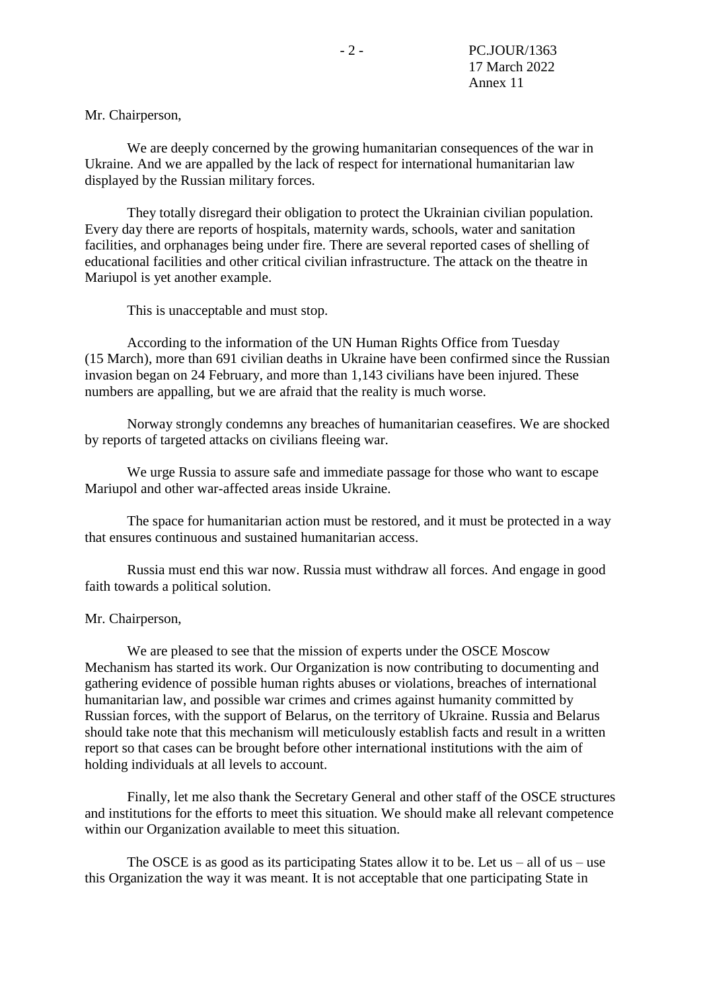Mr. Chairperson,

We are deeply concerned by the growing humanitarian consequences of the war in Ukraine. And we are appalled by the lack of respect for international humanitarian law displayed by the Russian military forces.

They totally disregard their obligation to protect the Ukrainian civilian population. Every day there are reports of hospitals, maternity wards, schools, water and sanitation facilities, and orphanages being under fire. There are several reported cases of shelling of educational facilities and other critical civilian infrastructure. The attack on the theatre in Mariupol is yet another example.

This is unacceptable and must stop.

According to the information of the UN Human Rights Office from Tuesday (15 March), more than 691 civilian deaths in Ukraine have been confirmed since the Russian invasion began on 24 February, and more than 1,143 civilians have been injured. These numbers are appalling, but we are afraid that the reality is much worse.

Norway strongly condemns any breaches of humanitarian ceasefires. We are shocked by reports of targeted attacks on civilians fleeing war.

We urge Russia to assure safe and immediate passage for those who want to escape Mariupol and other war-affected areas inside Ukraine.

The space for humanitarian action must be restored, and it must be protected in a way that ensures continuous and sustained humanitarian access.

Russia must end this war now. Russia must withdraw all forces. And engage in good faith towards a political solution.

#### Mr. Chairperson,

We are pleased to see that the mission of experts under the OSCE Moscow Mechanism has started its work. Our Organization is now contributing to documenting and gathering evidence of possible human rights abuses or violations, breaches of international humanitarian law, and possible war crimes and crimes against humanity committed by Russian forces, with the support of Belarus, on the territory of Ukraine. Russia and Belarus should take note that this mechanism will meticulously establish facts and result in a written report so that cases can be brought before other international institutions with the aim of holding individuals at all levels to account.

Finally, let me also thank the Secretary General and other staff of the OSCE structures and institutions for the efforts to meet this situation. We should make all relevant competence within our Organization available to meet this situation.

The OSCE is as good as its participating States allow it to be. Let us – all of us – use this Organization the way it was meant. It is not acceptable that one participating State in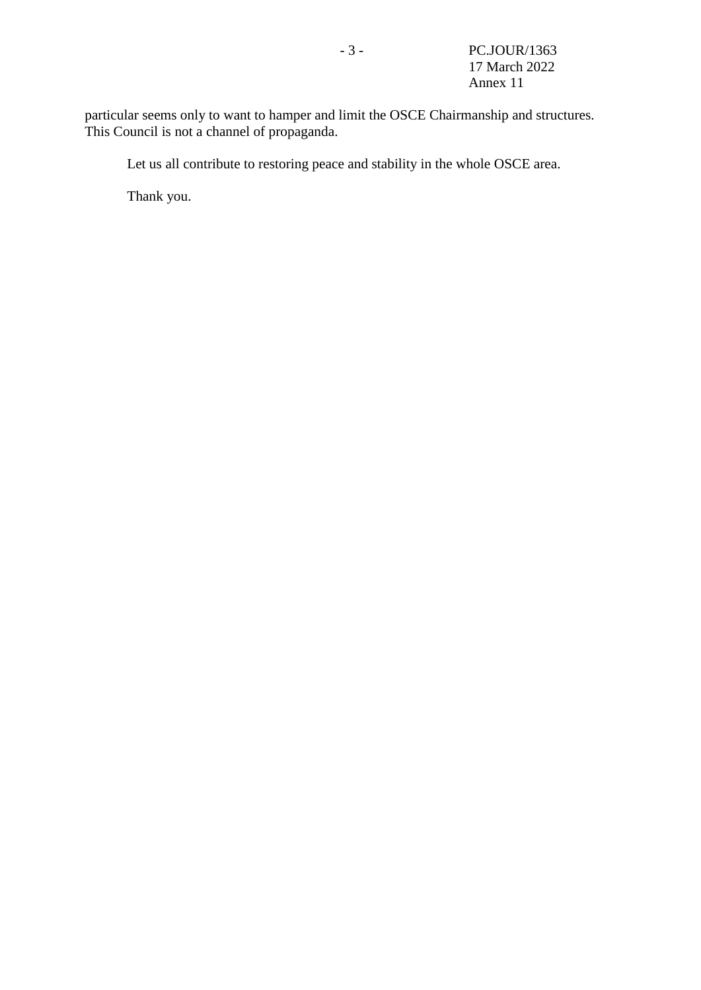particular seems only to want to hamper and limit the OSCE Chairmanship and structures. This Council is not a channel of propaganda.

Let us all contribute to restoring peace and stability in the whole OSCE area.

Thank you.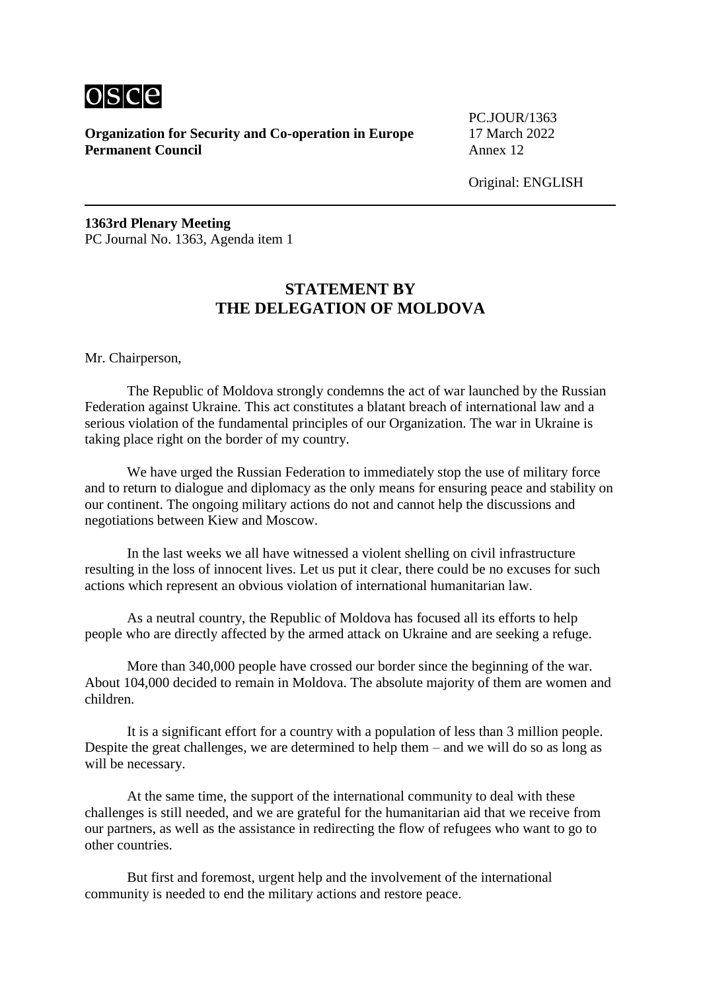

PC.JOUR/1363

Original: ENGLISH

**1363rd Plenary Meeting** PC Journal No. 1363, Agenda item 1

### **STATEMENT BY THE DELEGATION OF MOLDOVA**

Mr. Chairperson,

The Republic of Moldova strongly condemns the act of war launched by the Russian Federation against Ukraine. This act constitutes a blatant breach of international law and a serious violation of the fundamental principles of our Organization. The war in Ukraine is taking place right on the border of my country.

We have urged the Russian Federation to immediately stop the use of military force and to return to dialogue and diplomacy as the only means for ensuring peace and stability on our continent. The ongoing military actions do not and cannot help the discussions and negotiations between Kiew and Moscow.

In the last weeks we all have witnessed a violent shelling on civil infrastructure resulting in the loss of innocent lives. Let us put it clear, there could be no excuses for such actions which represent an obvious violation of international humanitarian law.

As a neutral country, the Republic of Moldova has focused all its efforts to help people who are directly affected by the armed attack on Ukraine and are seeking a refuge.

More than 340,000 people have crossed our border since the beginning of the war. About 104,000 decided to remain in Moldova. The absolute majority of them are women and children.

It is a significant effort for a country with a population of less than 3 million people. Despite the great challenges, we are determined to help them – and we will do so as long as will be necessary.

At the same time, the support of the international community to deal with these challenges is still needed, and we are grateful for the humanitarian aid that we receive from our partners, as well as the assistance in redirecting the flow of refugees who want to go to other countries.

But first and foremost, urgent help and the involvement of the international community is needed to end the military actions and restore peace.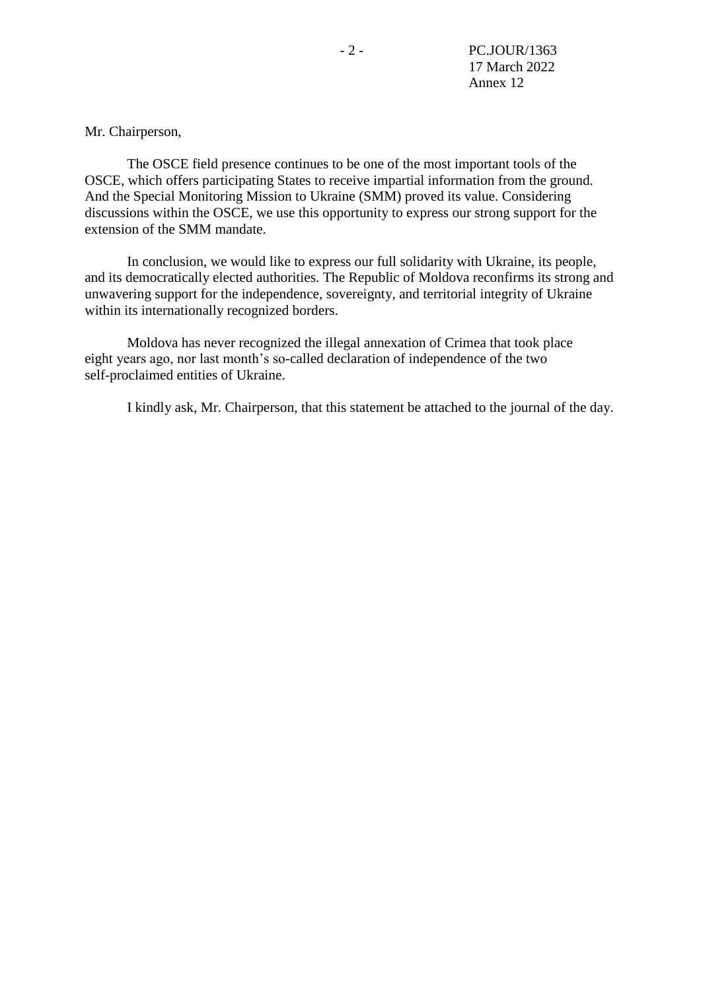Mr. Chairperson,

The OSCE field presence continues to be one of the most important tools of the OSCE, which offers participating States to receive impartial information from the ground. And the Special Monitoring Mission to Ukraine (SMM) proved its value. Considering discussions within the OSCE, we use this opportunity to express our strong support for the extension of the SMM mandate.

In conclusion, we would like to express our full solidarity with Ukraine, its people, and its democratically elected authorities. The Republic of Moldova reconfirms its strong and unwavering support for the independence, sovereignty, and territorial integrity of Ukraine within its internationally recognized borders.

Moldova has never recognized the illegal annexation of Crimea that took place eight years ago, nor last month's so-called declaration of independence of the two self-proclaimed entities of Ukraine.

I kindly ask, Mr. Chairperson, that this statement be attached to the journal of the day.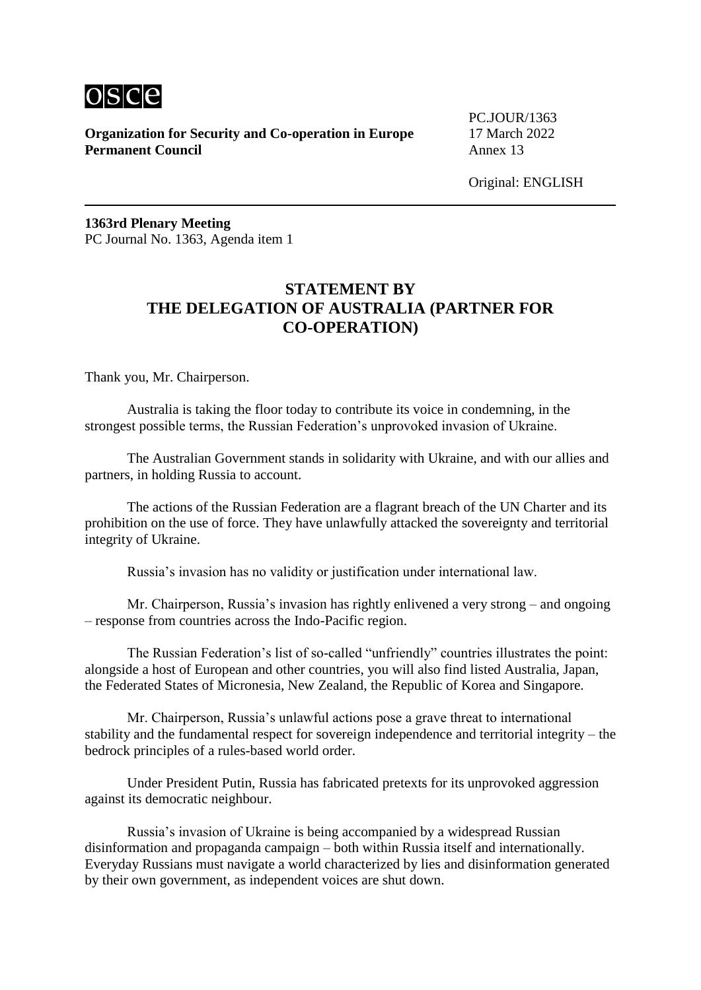

PC.JOUR/1363

Original: ENGLISH

**1363rd Plenary Meeting** PC Journal No. 1363, Agenda item 1

# **STATEMENT BY THE DELEGATION OF AUSTRALIA (PARTNER FOR CO-OPERATION)**

Thank you, Mr. Chairperson.

Australia is taking the floor today to contribute its voice in condemning, in the strongest possible terms, the Russian Federation's unprovoked invasion of Ukraine.

The Australian Government stands in solidarity with Ukraine, and with our allies and partners, in holding Russia to account.

The actions of the Russian Federation are a flagrant breach of the UN Charter and its prohibition on the use of force. They have unlawfully attacked the sovereignty and territorial integrity of Ukraine.

Russia's invasion has no validity or justification under international law.

Mr. Chairperson, Russia's invasion has rightly enlivened a very strong – and ongoing – response from countries across the Indo-Pacific region.

The Russian Federation's list of so-called "unfriendly" countries illustrates the point: alongside a host of European and other countries, you will also find listed Australia, Japan, the Federated States of Micronesia, New Zealand, the Republic of Korea and Singapore.

Mr. Chairperson, Russia's unlawful actions pose a grave threat to international stability and the fundamental respect for sovereign independence and territorial integrity – the bedrock principles of a rules-based world order.

Under President Putin, Russia has fabricated pretexts for its unprovoked aggression against its democratic neighbour.

Russia's invasion of Ukraine is being accompanied by a widespread Russian disinformation and propaganda campaign – both within Russia itself and internationally. Everyday Russians must navigate a world characterized by lies and disinformation generated by their own government, as independent voices are shut down.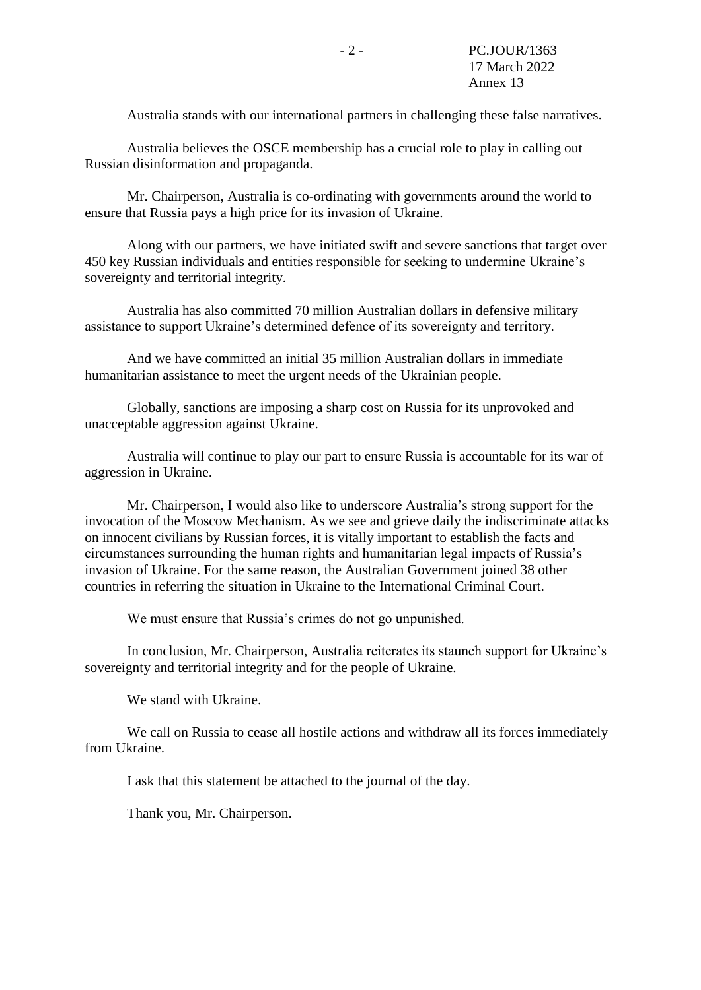Australia stands with our international partners in challenging these false narratives.

Australia believes the OSCE membership has a crucial role to play in calling out Russian disinformation and propaganda.

Mr. Chairperson, Australia is co-ordinating with governments around the world to ensure that Russia pays a high price for its invasion of Ukraine.

Along with our partners, we have initiated swift and severe sanctions that target over 450 key Russian individuals and entities responsible for seeking to undermine Ukraine's sovereignty and territorial integrity.

Australia has also committed 70 million Australian dollars in defensive military assistance to support Ukraine's determined defence of its sovereignty and territory.

And we have committed an initial 35 million Australian dollars in immediate humanitarian assistance to meet the urgent needs of the Ukrainian people.

Globally, sanctions are imposing a sharp cost on Russia for its unprovoked and unacceptable aggression against Ukraine.

Australia will continue to play our part to ensure Russia is accountable for its war of aggression in Ukraine.

Mr. Chairperson, I would also like to underscore Australia's strong support for the invocation of the Moscow Mechanism. As we see and grieve daily the indiscriminate attacks on innocent civilians by Russian forces, it is vitally important to establish the facts and circumstances surrounding the human rights and humanitarian legal impacts of Russia's invasion of Ukraine. For the same reason, the Australian Government joined 38 other countries in referring the situation in Ukraine to the International Criminal Court.

We must ensure that Russia's crimes do not go unpunished.

In conclusion, Mr. Chairperson, Australia reiterates its staunch support for Ukraine's sovereignty and territorial integrity and for the people of Ukraine.

We stand with Ukraine.

We call on Russia to cease all hostile actions and withdraw all its forces immediately from Ukraine.

I ask that this statement be attached to the journal of the day.

Thank you, Mr. Chairperson.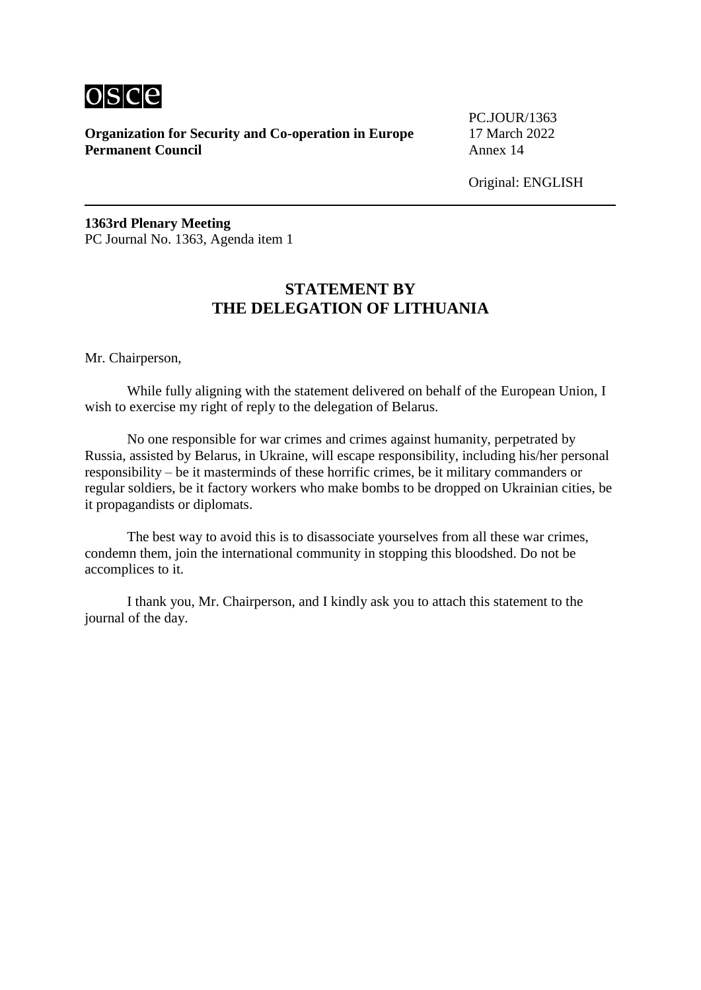

PC.JOUR/1363

Original: ENGLISH

**1363rd Plenary Meeting** PC Journal No. 1363, Agenda item 1

# **STATEMENT BY THE DELEGATION OF LITHUANIA**

Mr. Chairperson,

While fully aligning with the statement delivered on behalf of the European Union, I wish to exercise my right of reply to the delegation of Belarus.

No one responsible for war crimes and crimes against humanity, perpetrated by Russia, assisted by Belarus, in Ukraine, will escape responsibility, including his/her personal responsibility – be it masterminds of these horrific crimes, be it military commanders or regular soldiers, be it factory workers who make bombs to be dropped on Ukrainian cities, be it propagandists or diplomats.

The best way to avoid this is to disassociate yourselves from all these war crimes, condemn them, join the international community in stopping this bloodshed. Do not be accomplices to it.

I thank you, Mr. Chairperson, and I kindly ask you to attach this statement to the journal of the day.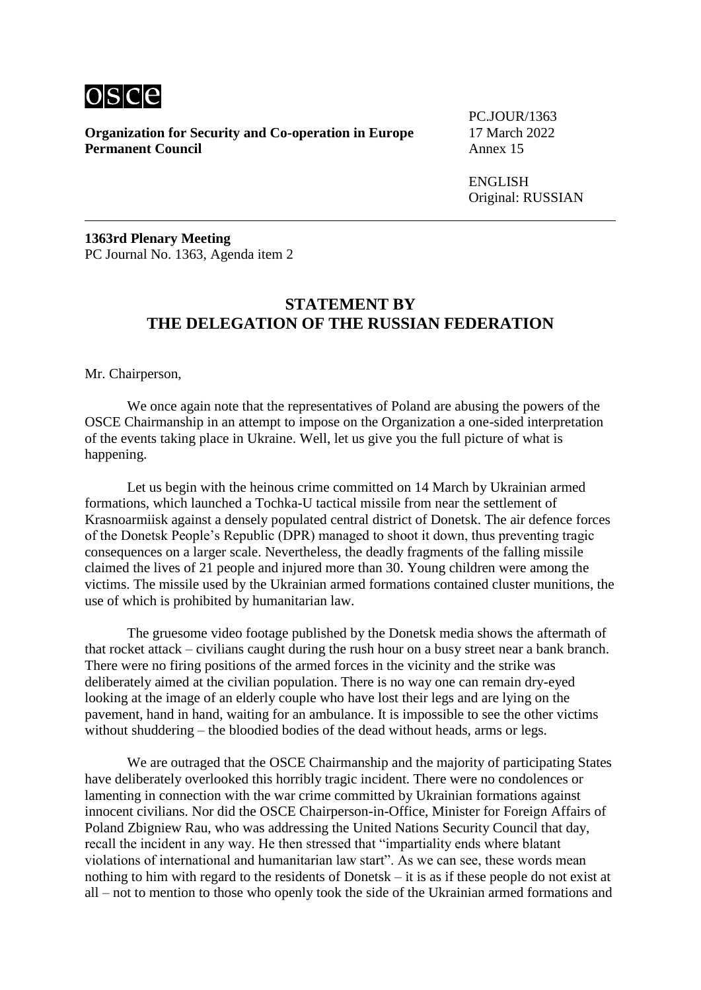

PC.JOUR/1363

ENGLISH Original: RUSSIAN

**1363rd Plenary Meeting** PC Journal No. 1363, Agenda item 2

#### **STATEMENT BY THE DELEGATION OF THE RUSSIAN FEDERATION**

Mr. Chairperson,

We once again note that the representatives of Poland are abusing the powers of the OSCE Chairmanship in an attempt to impose on the Organization a one-sided interpretation of the events taking place in Ukraine. Well, let us give you the full picture of what is happening.

Let us begin with the heinous crime committed on 14 March by Ukrainian armed formations, which launched a Tochka-U tactical missile from near the settlement of Krasnoarmiisk against a densely populated central district of Donetsk. The air defence forces of the Donetsk People's Republic (DPR) managed to shoot it down, thus preventing tragic consequences on a larger scale. Nevertheless, the deadly fragments of the falling missile claimed the lives of 21 people and injured more than 30. Young children were among the victims. The missile used by the Ukrainian armed formations contained cluster munitions, the use of which is prohibited by humanitarian law.

The gruesome video footage published by the Donetsk media shows the aftermath of that rocket attack – civilians caught during the rush hour on a busy street near a bank branch. There were no firing positions of the armed forces in the vicinity and the strike was deliberately aimed at the civilian population. There is no way one can remain dry-eyed looking at the image of an elderly couple who have lost their legs and are lying on the pavement, hand in hand, waiting for an ambulance. It is impossible to see the other victims without shuddering – the bloodied bodies of the dead without heads, arms or legs.

We are outraged that the OSCE Chairmanship and the majority of participating States have deliberately overlooked this horribly tragic incident. There were no condolences or lamenting in connection with the war crime committed by Ukrainian formations against innocent civilians. Nor did the OSCE Chairperson-in-Office, Minister for Foreign Affairs of Poland Zbigniew Rau, who was addressing the United Nations Security Council that day, recall the incident in any way. He then stressed that "impartiality ends where blatant violations of international and humanitarian law start". As we can see, these words mean nothing to him with regard to the residents of Donetsk – it is as if these people do not exist at all – not to mention to those who openly took the side of the Ukrainian armed formations and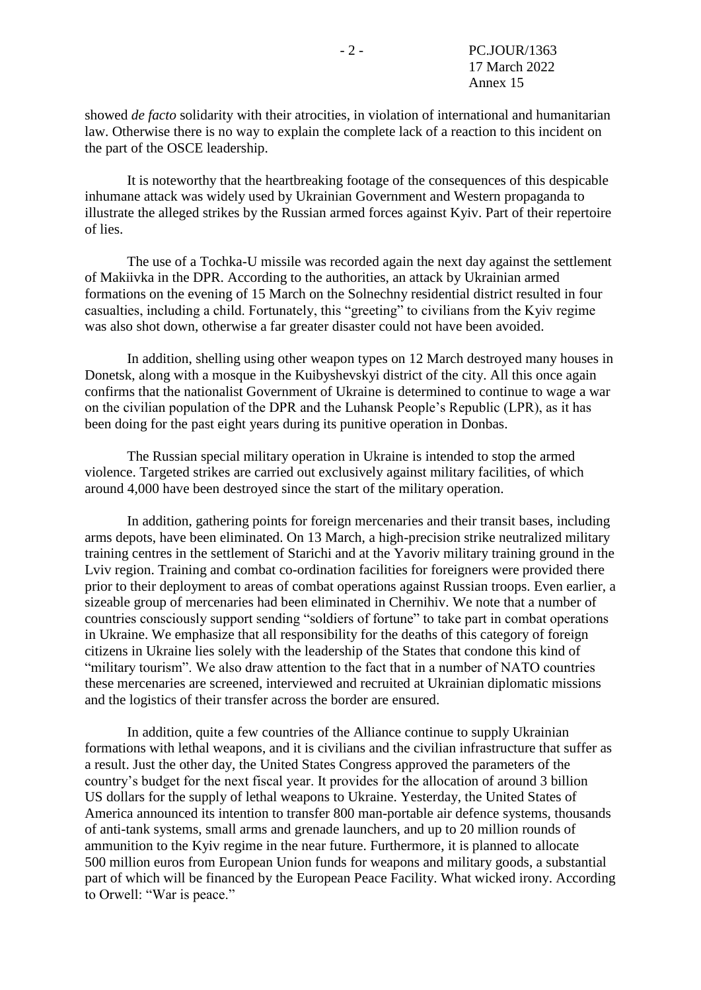showed *de facto* solidarity with their atrocities, in violation of international and humanitarian law. Otherwise there is no way to explain the complete lack of a reaction to this incident on the part of the OSCE leadership.

It is noteworthy that the heartbreaking footage of the consequences of this despicable inhumane attack was widely used by Ukrainian Government and Western propaganda to illustrate the alleged strikes by the Russian armed forces against Kyiv. Part of their repertoire of lies.

The use of a Tochka-U missile was recorded again the next day against the settlement of Makiivka in the DPR. According to the authorities, an attack by Ukrainian armed formations on the evening of 15 March on the Solnechny residential district resulted in four casualties, including a child. Fortunately, this "greeting" to civilians from the Kyiv regime was also shot down, otherwise a far greater disaster could not have been avoided.

In addition, shelling using other weapon types on 12 March destroyed many houses in Donetsk, along with a mosque in the Kuibyshevskyi district of the city. All this once again confirms that the nationalist Government of Ukraine is determined to continue to wage a war on the civilian population of the DPR and the Luhansk People's Republic (LPR), as it has been doing for the past eight years during its punitive operation in Donbas.

The Russian special military operation in Ukraine is intended to stop the armed violence. Targeted strikes are carried out exclusively against military facilities, of which around 4,000 have been destroyed since the start of the military operation.

In addition, gathering points for foreign mercenaries and their transit bases, including arms depots, have been eliminated. On 13 March, a high-precision strike neutralized military training centres in the settlement of Starichi and at the Yavoriv military training ground in the Lviv region. Training and combat co-ordination facilities for foreigners were provided there prior to their deployment to areas of combat operations against Russian troops. Even earlier, a sizeable group of mercenaries had been eliminated in Chernihiv. We note that a number of countries consciously support sending "soldiers of fortune" to take part in combat operations in Ukraine. We emphasize that all responsibility for the deaths of this category of foreign citizens in Ukraine lies solely with the leadership of the States that condone this kind of "military tourism". We also draw attention to the fact that in a number of NATO countries these mercenaries are screened, interviewed and recruited at Ukrainian diplomatic missions and the logistics of their transfer across the border are ensured.

In addition, quite a few countries of the Alliance continue to supply Ukrainian formations with lethal weapons, and it is civilians and the civilian infrastructure that suffer as a result. Just the other day, the United States Congress approved the parameters of the country's budget for the next fiscal year. It provides for the allocation of around 3 billion US dollars for the supply of lethal weapons to Ukraine. Yesterday, the United States of America announced its intention to transfer 800 man-portable air defence systems, thousands of anti-tank systems, small arms and grenade launchers, and up to 20 million rounds of ammunition to the Kyiv regime in the near future. Furthermore, it is planned to allocate 500 million euros from European Union funds for weapons and military goods, a substantial part of which will be financed by the European Peace Facility. What wicked irony. According to Orwell: "War is peace."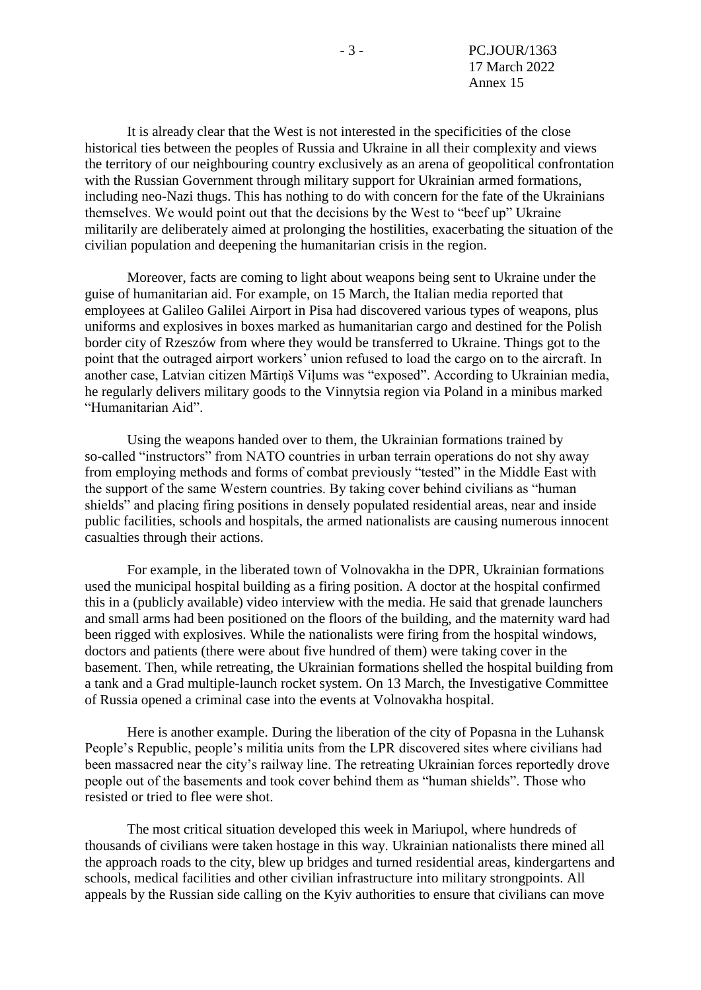- 3 - PC.JOUR/1363 17 March 2022 Annex 15

It is already clear that the West is not interested in the specificities of the close historical ties between the peoples of Russia and Ukraine in all their complexity and views the territory of our neighbouring country exclusively as an arena of geopolitical confrontation with the Russian Government through military support for Ukrainian armed formations, including neo-Nazi thugs. This has nothing to do with concern for the fate of the Ukrainians themselves. We would point out that the decisions by the West to "beef up" Ukraine militarily are deliberately aimed at prolonging the hostilities, exacerbating the situation of the civilian population and deepening the humanitarian crisis in the region.

Moreover, facts are coming to light about weapons being sent to Ukraine under the guise of humanitarian aid. For example, on 15 March, the Italian media reported that employees at Galileo Galilei Airport in Pisa had discovered various types of weapons, plus uniforms and explosives in boxes marked as humanitarian cargo and destined for the Polish border city of Rzeszów from where they would be transferred to Ukraine. Things got to the point that the outraged airport workers' union refused to load the cargo on to the aircraft. In another case, Latvian citizen Mārtiņš Viļums was "exposed". According to Ukrainian media, he regularly delivers military goods to the Vinnytsia region via Poland in a minibus marked "Humanitarian Aid".

Using the weapons handed over to them, the Ukrainian formations trained by so-called "instructors" from NATO countries in urban terrain operations do not shy away from employing methods and forms of combat previously "tested" in the Middle East with the support of the same Western countries. By taking cover behind civilians as "human shields" and placing firing positions in densely populated residential areas, near and inside public facilities, schools and hospitals, the armed nationalists are causing numerous innocent casualties through their actions.

For example, in the liberated town of Volnovakha in the DPR, Ukrainian formations used the municipal hospital building as a firing position. A doctor at the hospital confirmed this in a (publicly available) video interview with the media. He said that grenade launchers and small arms had been positioned on the floors of the building, and the maternity ward had been rigged with explosives. While the nationalists were firing from the hospital windows, doctors and patients (there were about five hundred of them) were taking cover in the basement. Then, while retreating, the Ukrainian formations shelled the hospital building from a tank and a Grad multiple-launch rocket system. On 13 March, the Investigative Committee of Russia opened a criminal case into the events at Volnovakha hospital.

Here is another example. During the liberation of the city of Popasna in the Luhansk People's Republic, people's militia units from the LPR discovered sites where civilians had been massacred near the city's railway line. The retreating Ukrainian forces reportedly drove people out of the basements and took cover behind them as "human shields". Those who resisted or tried to flee were shot.

The most critical situation developed this week in Mariupol, where hundreds of thousands of civilians were taken hostage in this way. Ukrainian nationalists there mined all the approach roads to the city, blew up bridges and turned residential areas, kindergartens and schools, medical facilities and other civilian infrastructure into military strongpoints. All appeals by the Russian side calling on the Kyiv authorities to ensure that civilians can move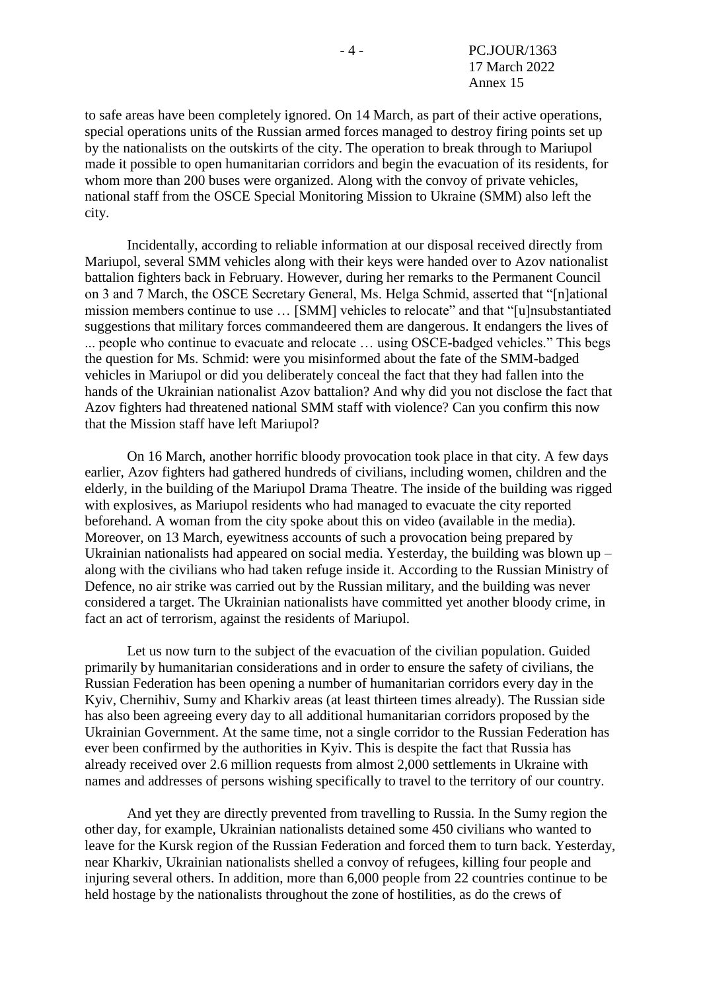to safe areas have been completely ignored. On 14 March, as part of their active operations, special operations units of the Russian armed forces managed to destroy firing points set up by the nationalists on the outskirts of the city. The operation to break through to Mariupol made it possible to open humanitarian corridors and begin the evacuation of its residents, for whom more than 200 buses were organized. Along with the convoy of private vehicles, national staff from the OSCE Special Monitoring Mission to Ukraine (SMM) also left the city.

Incidentally, according to reliable information at our disposal received directly from Mariupol, several SMM vehicles along with their keys were handed over to Azov nationalist battalion fighters back in February. However, during her remarks to the Permanent Council on 3 and 7 March, the OSCE Secretary General, Ms. Helga Schmid, asserted that "[n]ational mission members continue to use … [SMM] vehicles to relocate" and that "[u]nsubstantiated suggestions that military forces commandeered them are dangerous. It endangers the lives of ... people who continue to evacuate and relocate … using OSCE-badged vehicles." This begs the question for Ms. Schmid: were you misinformed about the fate of the SMM-badged vehicles in Mariupol or did you deliberately conceal the fact that they had fallen into the hands of the Ukrainian nationalist Azov battalion? And why did you not disclose the fact that Azov fighters had threatened national SMM staff with violence? Can you confirm this now that the Mission staff have left Mariupol?

On 16 March, another horrific bloody provocation took place in that city. A few days earlier, Azov fighters had gathered hundreds of civilians, including women, children and the elderly, in the building of the Mariupol Drama Theatre. The inside of the building was rigged with explosives, as Mariupol residents who had managed to evacuate the city reported beforehand. A woman from the city spoke about this on video (available in the media). Moreover, on 13 March, eyewitness accounts of such a provocation being prepared by Ukrainian nationalists had appeared on social media. Yesterday, the building was blown up – along with the civilians who had taken refuge inside it. According to the Russian Ministry of Defence, no air strike was carried out by the Russian military, and the building was never considered a target. The Ukrainian nationalists have committed yet another bloody crime, in fact an act of terrorism, against the residents of Mariupol.

Let us now turn to the subject of the evacuation of the civilian population. Guided primarily by humanitarian considerations and in order to ensure the safety of civilians, the Russian Federation has been opening a number of humanitarian corridors every day in the Kyiv, Chernihiv, Sumy and Kharkiv areas (at least thirteen times already). The Russian side has also been agreeing every day to all additional humanitarian corridors proposed by the Ukrainian Government. At the same time, not a single corridor to the Russian Federation has ever been confirmed by the authorities in Kyiv. This is despite the fact that Russia has already received over 2.6 million requests from almost 2,000 settlements in Ukraine with names and addresses of persons wishing specifically to travel to the territory of our country.

And yet they are directly prevented from travelling to Russia. In the Sumy region the other day, for example, Ukrainian nationalists detained some 450 civilians who wanted to leave for the Kursk region of the Russian Federation and forced them to turn back. Yesterday, near Kharkiv, Ukrainian nationalists shelled a convoy of refugees, killing four people and injuring several others. In addition, more than 6,000 people from 22 countries continue to be held hostage by the nationalists throughout the zone of hostilities, as do the crews of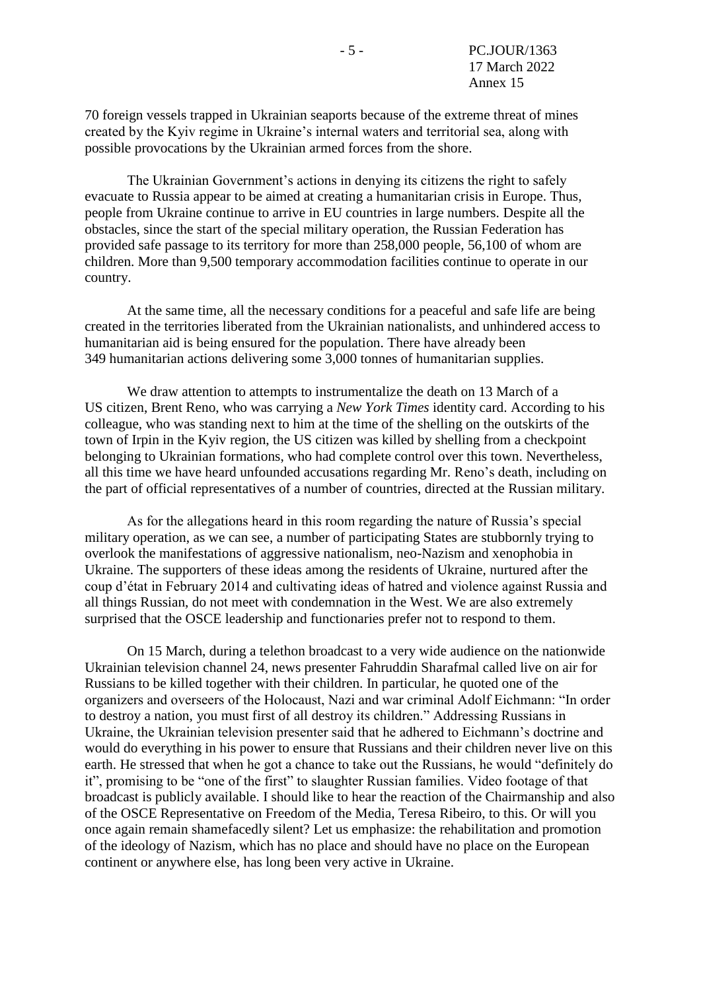70 foreign vessels trapped in Ukrainian seaports because of the extreme threat of mines created by the Kyiv regime in Ukraine's internal waters and territorial sea, along with possible provocations by the Ukrainian armed forces from the shore.

The Ukrainian Government's actions in denying its citizens the right to safely evacuate to Russia appear to be aimed at creating a humanitarian crisis in Europe. Thus, people from Ukraine continue to arrive in EU countries in large numbers. Despite all the obstacles, since the start of the special military operation, the Russian Federation has provided safe passage to its territory for more than 258,000 people, 56,100 of whom are children. More than 9,500 temporary accommodation facilities continue to operate in our country.

At the same time, all the necessary conditions for a peaceful and safe life are being created in the territories liberated from the Ukrainian nationalists, and unhindered access to humanitarian aid is being ensured for the population. There have already been 349 humanitarian actions delivering some 3,000 tonnes of humanitarian supplies.

We draw attention to attempts to instrumentalize the death on 13 March of a US citizen, Brent Reno, who was carrying a *New York Times* identity card. According to his colleague, who was standing next to him at the time of the shelling on the outskirts of the town of Irpin in the Kyiv region, the US citizen was killed by shelling from a checkpoint belonging to Ukrainian formations, who had complete control over this town. Nevertheless, all this time we have heard unfounded accusations regarding Mr. Reno's death, including on the part of official representatives of a number of countries, directed at the Russian military.

As for the allegations heard in this room regarding the nature of Russia's special military operation, as we can see, a number of participating States are stubbornly trying to overlook the manifestations of aggressive nationalism, neo-Nazism and xenophobia in Ukraine. The supporters of these ideas among the residents of Ukraine, nurtured after the coup d'état in February 2014 and cultivating ideas of hatred and violence against Russia and all things Russian, do not meet with condemnation in the West. We are also extremely surprised that the OSCE leadership and functionaries prefer not to respond to them.

On 15 March, during a telethon broadcast to a very wide audience on the nationwide Ukrainian television channel 24, news presenter Fahruddin Sharafmal called live on air for Russians to be killed together with their children. In particular, he quoted one of the organizers and overseers of the Holocaust, Nazi and war criminal Adolf Eichmann: "In order to destroy a nation, you must first of all destroy its children." Addressing Russians in Ukraine, the Ukrainian television presenter said that he adhered to Eichmann's doctrine and would do everything in his power to ensure that Russians and their children never live on this earth. He stressed that when he got a chance to take out the Russians, he would "definitely do it", promising to be "one of the first" to slaughter Russian families. Video footage of that broadcast is publicly available. I should like to hear the reaction of the Chairmanship and also of the OSCE Representative on Freedom of the Media, Teresa Ribeiro, to this. Or will you once again remain shamefacedly silent? Let us emphasize: the rehabilitation and promotion of the ideology of Nazism, which has no place and should have no place on the European continent or anywhere else, has long been very active in Ukraine.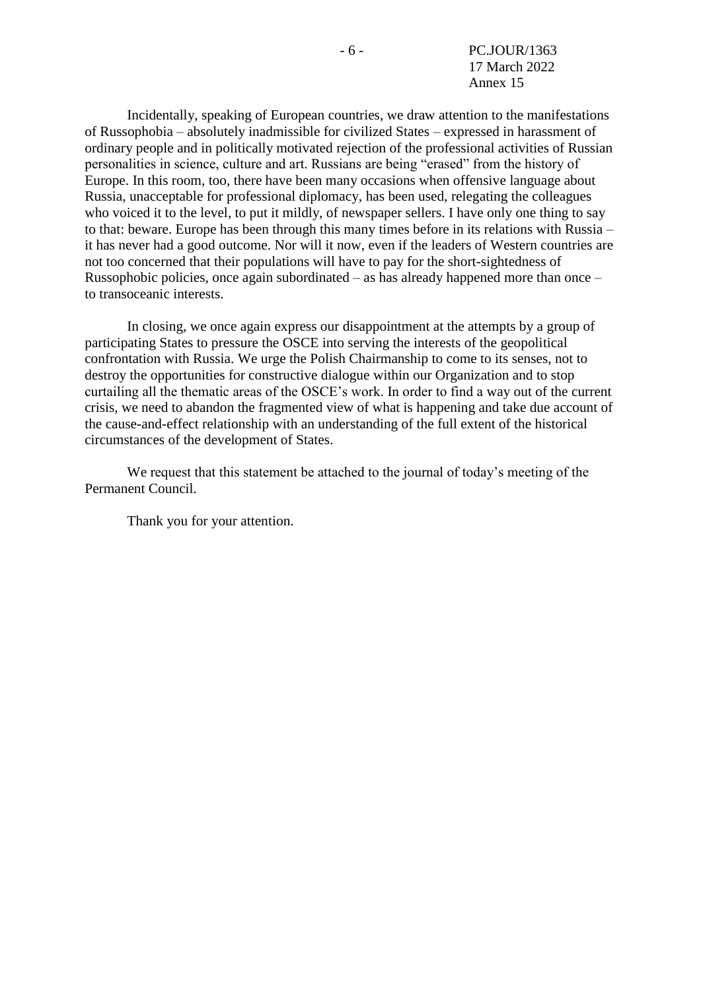- 6 - PC.JOUR/1363 17 March 2022 Annex 15

Incidentally, speaking of European countries, we draw attention to the manifestations of Russophobia – absolutely inadmissible for civilized States – expressed in harassment of ordinary people and in politically motivated rejection of the professional activities of Russian personalities in science, culture and art. Russians are being "erased" from the history of Europe. In this room, too, there have been many occasions when offensive language about Russia, unacceptable for professional diplomacy, has been used, relegating the colleagues who voiced it to the level, to put it mildly, of newspaper sellers. I have only one thing to say to that: beware. Europe has been through this many times before in its relations with Russia – it has never had a good outcome. Nor will it now, even if the leaders of Western countries are not too concerned that their populations will have to pay for the short-sightedness of Russophobic policies, once again subordinated – as has already happened more than once – to transoceanic interests.

In closing, we once again express our disappointment at the attempts by a group of participating States to pressure the OSCE into serving the interests of the geopolitical confrontation with Russia. We urge the Polish Chairmanship to come to its senses, not to destroy the opportunities for constructive dialogue within our Organization and to stop curtailing all the thematic areas of the OSCE's work. In order to find a way out of the current crisis, we need to abandon the fragmented view of what is happening and take due account of the cause-and-effect relationship with an understanding of the full extent of the historical circumstances of the development of States.

We request that this statement be attached to the journal of today's meeting of the Permanent Council.

Thank you for your attention.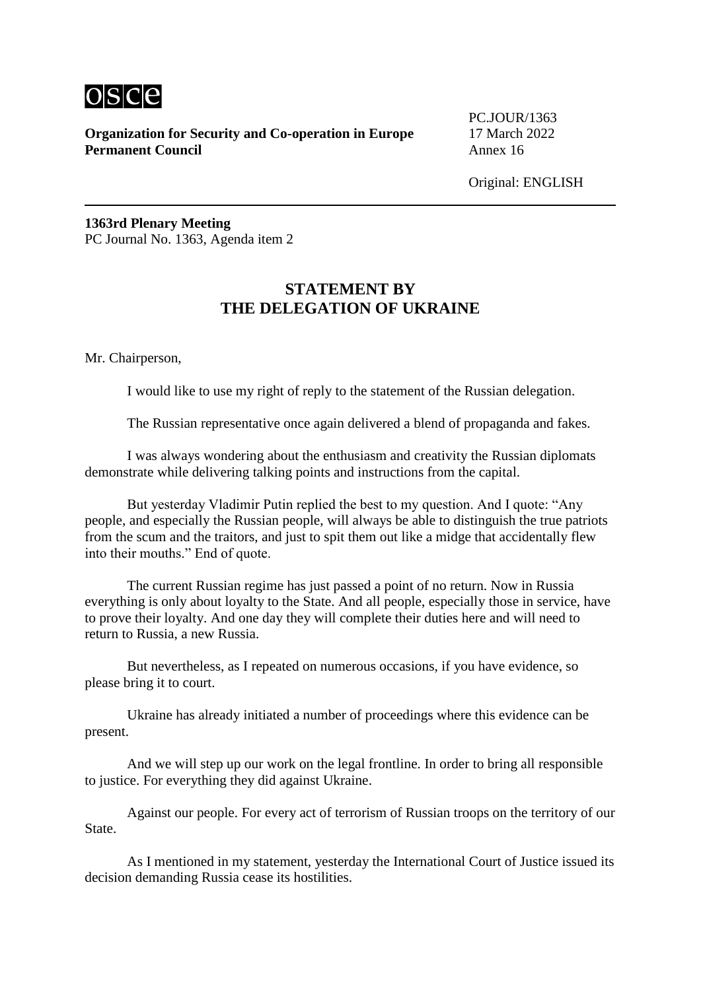

PC.JOUR/1363

Original: ENGLISH

**1363rd Plenary Meeting** PC Journal No. 1363, Agenda item 2

# **STATEMENT BY THE DELEGATION OF UKRAINE**

Mr. Chairperson,

I would like to use my right of reply to the statement of the Russian delegation.

The Russian representative once again delivered a blend of propaganda and fakes.

I was always wondering about the enthusiasm and creativity the Russian diplomats demonstrate while delivering talking points and instructions from the capital.

But yesterday Vladimir Putin replied the best to my question. And I quote: "Any people, and especially the Russian people, will always be able to distinguish the true patriots from the scum and the traitors, and just to spit them out like a midge that accidentally flew into their mouths." End of quote.

The current Russian regime has just passed a point of no return. Now in Russia everything is only about loyalty to the State. And all people, especially those in service, have to prove their loyalty. And one day they will complete their duties here and will need to return to Russia, a new Russia.

But nevertheless, as I repeated on numerous occasions, if you have evidence, so please bring it to court.

Ukraine has already initiated a number of proceedings where this evidence can be present.

And we will step up our work on the legal frontline. In order to bring all responsible to justice. For everything they did against Ukraine.

Against our people. For every act of terrorism of Russian troops on the territory of our State.

As I mentioned in my statement, yesterday the International Court of Justice issued its decision demanding Russia cease its hostilities.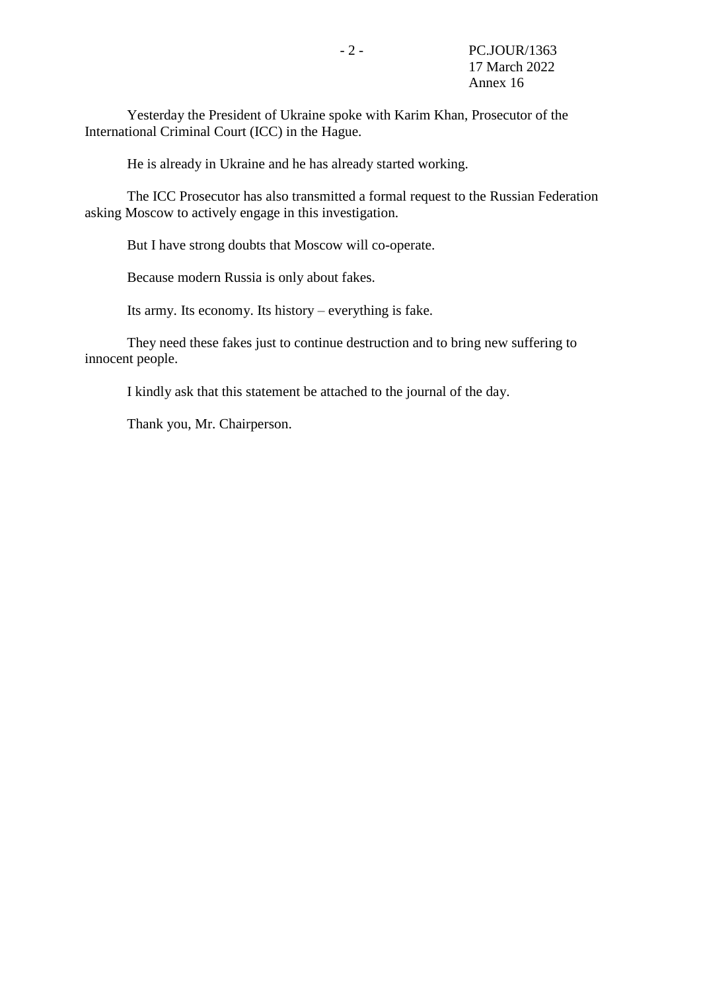Yesterday the President of Ukraine spoke with Karim Khan, Prosecutor of the International Criminal Court (ICC) in the Hague.

He is already in Ukraine and he has already started working.

The ICC Prosecutor has also transmitted a formal request to the Russian Federation asking Moscow to actively engage in this investigation.

But I have strong doubts that Moscow will co-operate.

Because modern Russia is only about fakes.

Its army. Its economy. Its history – everything is fake.

They need these fakes just to continue destruction and to bring new suffering to innocent people.

I kindly ask that this statement be attached to the journal of the day.

Thank you, Mr. Chairperson.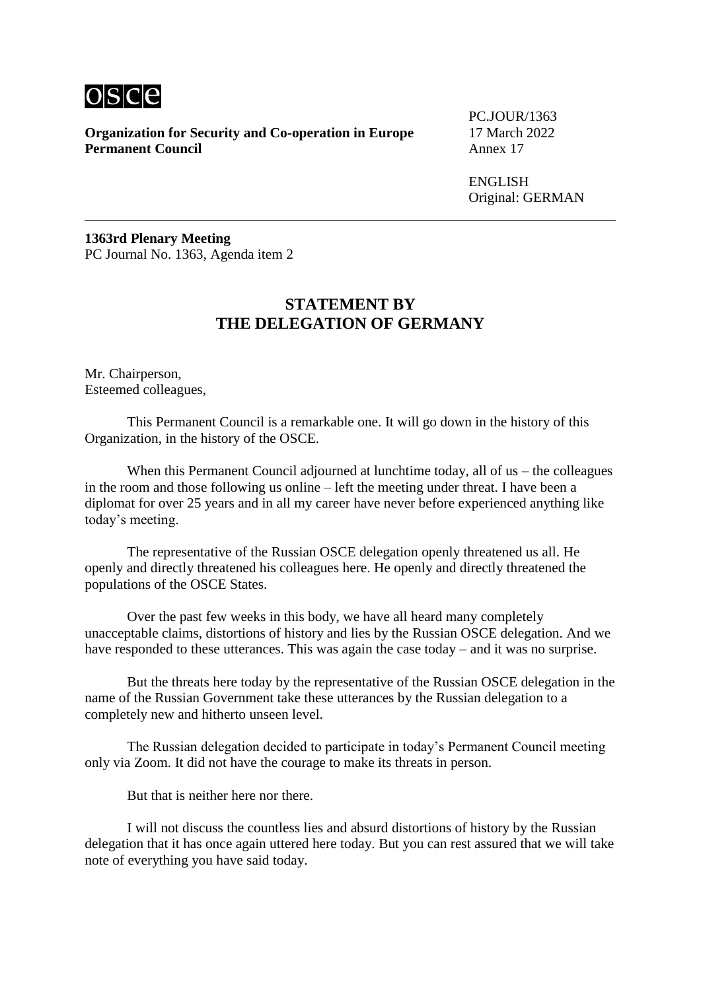

PC.JOUR/1363

ENGLISH Original: GERMAN

**1363rd Plenary Meeting** PC Journal No. 1363, Agenda item 2

### **STATEMENT BY THE DELEGATION OF GERMANY**

Mr. Chairperson, Esteemed colleagues,

This Permanent Council is a remarkable one. It will go down in the history of this Organization, in the history of the OSCE.

When this Permanent Council adjourned at lunchtime today, all of us – the colleagues in the room and those following us online – left the meeting under threat. I have been a diplomat for over 25 years and in all my career have never before experienced anything like today's meeting.

The representative of the Russian OSCE delegation openly threatened us all. He openly and directly threatened his colleagues here. He openly and directly threatened the populations of the OSCE States.

Over the past few weeks in this body, we have all heard many completely unacceptable claims, distortions of history and lies by the Russian OSCE delegation. And we have responded to these utterances. This was again the case today – and it was no surprise.

But the threats here today by the representative of the Russian OSCE delegation in the name of the Russian Government take these utterances by the Russian delegation to a completely new and hitherto unseen level.

The Russian delegation decided to participate in today's Permanent Council meeting only via Zoom. It did not have the courage to make its threats in person.

But that is neither here nor there.

I will not discuss the countless lies and absurd distortions of history by the Russian delegation that it has once again uttered here today. But you can rest assured that we will take note of everything you have said today.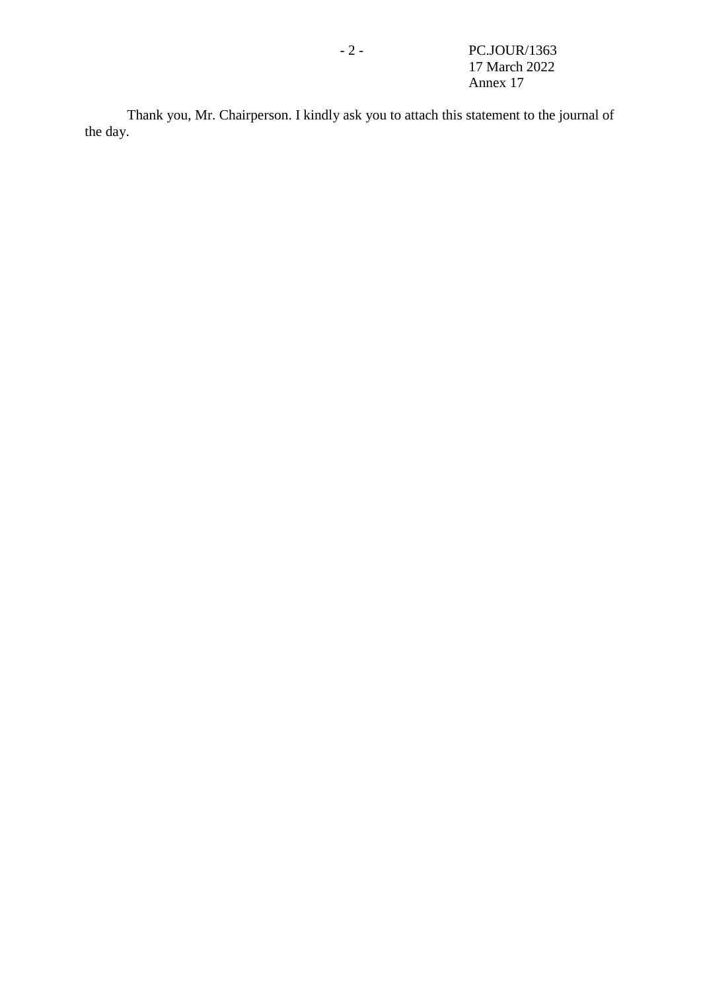- 2 - PC.JOUR/1363 17 March 2022 Annex 17

Thank you, Mr. Chairperson. I kindly ask you to attach this statement to the journal of the day.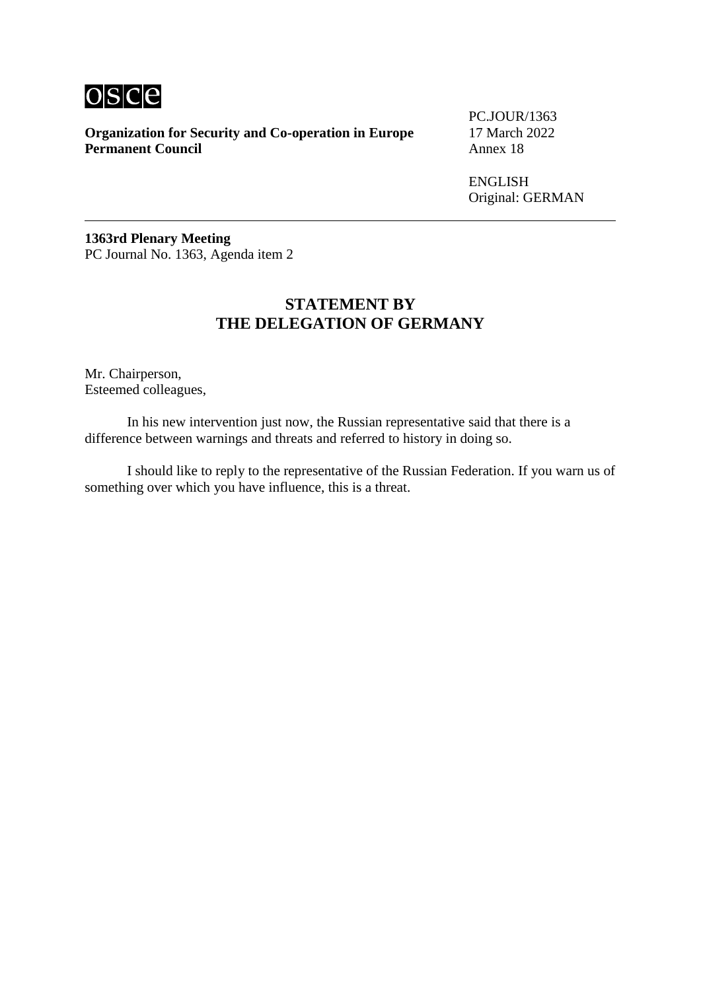

PC.JOUR/1363

ENGLISH Original: GERMAN

**1363rd Plenary Meeting** PC Journal No. 1363, Agenda item 2

### **STATEMENT BY THE DELEGATION OF GERMANY**

Mr. Chairperson, Esteemed colleagues,

In his new intervention just now, the Russian representative said that there is a difference between warnings and threats and referred to history in doing so.

I should like to reply to the representative of the Russian Federation. If you warn us of something over which you have influence, this is a threat.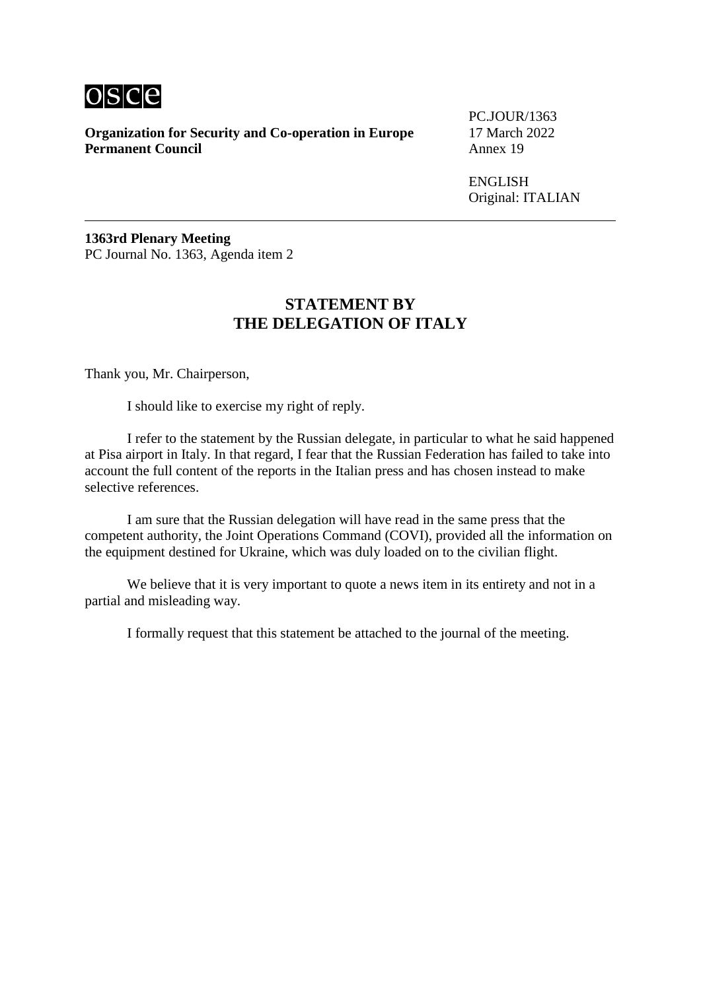

PC.JOUR/1363

ENGLISH Original: ITALIAN

**1363rd Plenary Meeting** PC Journal No. 1363, Agenda item 2

# **STATEMENT BY THE DELEGATION OF ITALY**

Thank you, Mr. Chairperson,

I should like to exercise my right of reply.

I refer to the statement by the Russian delegate, in particular to what he said happened at Pisa airport in Italy. In that regard, I fear that the Russian Federation has failed to take into account the full content of the reports in the Italian press and has chosen instead to make selective references.

I am sure that the Russian delegation will have read in the same press that the competent authority, the Joint Operations Command (COVI), provided all the information on the equipment destined for Ukraine, which was duly loaded on to the civilian flight.

We believe that it is very important to quote a news item in its entirety and not in a partial and misleading way.

I formally request that this statement be attached to the journal of the meeting.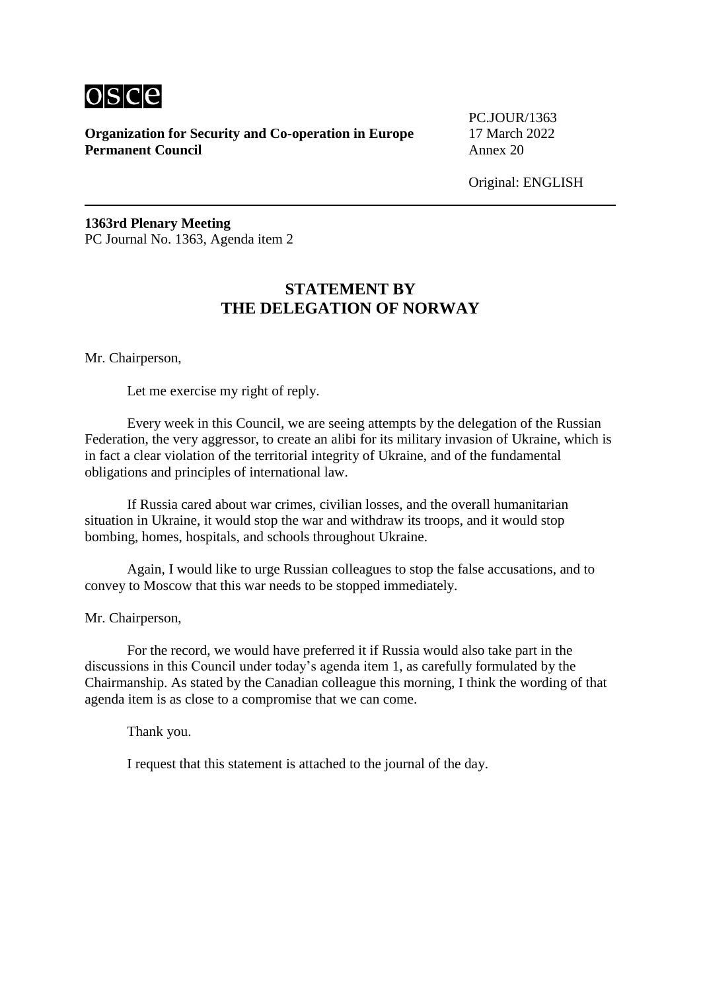

PC.JOUR/1363

Original: ENGLISH

**1363rd Plenary Meeting** PC Journal No. 1363, Agenda item 2

# **STATEMENT BY THE DELEGATION OF NORWAY**

Mr. Chairperson,

Let me exercise my right of reply.

Every week in this Council, we are seeing attempts by the delegation of the Russian Federation, the very aggressor, to create an alibi for its military invasion of Ukraine, which is in fact a clear violation of the territorial integrity of Ukraine, and of the fundamental obligations and principles of international law.

If Russia cared about war crimes, civilian losses, and the overall humanitarian situation in Ukraine, it would stop the war and withdraw its troops, and it would stop bombing, homes, hospitals, and schools throughout Ukraine.

Again, I would like to urge Russian colleagues to stop the false accusations, and to convey to Moscow that this war needs to be stopped immediately.

Mr. Chairperson,

For the record, we would have preferred it if Russia would also take part in the discussions in this Council under today's agenda item 1, as carefully formulated by the Chairmanship. As stated by the Canadian colleague this morning, I think the wording of that agenda item is as close to a compromise that we can come.

Thank you.

I request that this statement is attached to the journal of the day.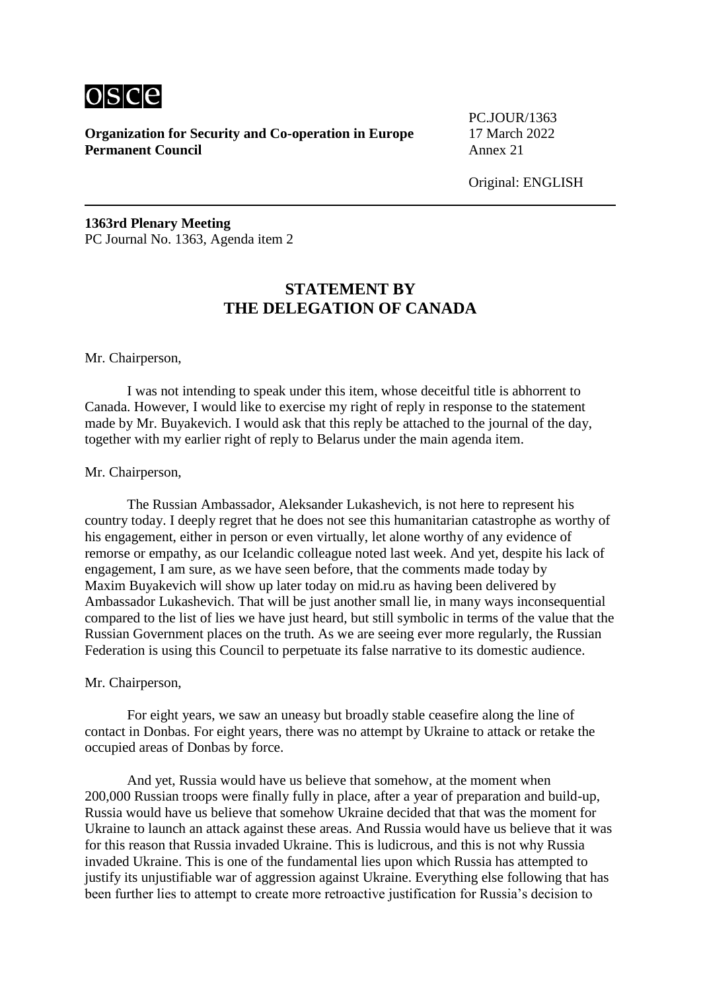

PC.JOUR/1363

Original: ENGLISH

**1363rd Plenary Meeting** PC Journal No. 1363, Agenda item 2

# **STATEMENT BY THE DELEGATION OF CANADA**

#### Mr. Chairperson,

I was not intending to speak under this item, whose deceitful title is abhorrent to Canada. However, I would like to exercise my right of reply in response to the statement made by Mr. Buyakevich. I would ask that this reply be attached to the journal of the day, together with my earlier right of reply to Belarus under the main agenda item.

#### Mr. Chairperson,

The Russian Ambassador, Aleksander Lukashevich, is not here to represent his country today. I deeply regret that he does not see this humanitarian catastrophe as worthy of his engagement, either in person or even virtually, let alone worthy of any evidence of remorse or empathy, as our Icelandic colleague noted last week. And yet, despite his lack of engagement, I am sure, as we have seen before, that the comments made today by Maxim Buyakevich will show up later today on mid.ru as having been delivered by Ambassador Lukashevich. That will be just another small lie, in many ways inconsequential compared to the list of lies we have just heard, but still symbolic in terms of the value that the Russian Government places on the truth. As we are seeing ever more regularly, the Russian Federation is using this Council to perpetuate its false narrative to its domestic audience.

#### Mr. Chairperson,

For eight years, we saw an uneasy but broadly stable ceasefire along the line of contact in Donbas. For eight years, there was no attempt by Ukraine to attack or retake the occupied areas of Donbas by force.

And yet, Russia would have us believe that somehow, at the moment when 200,000 Russian troops were finally fully in place, after a year of preparation and build-up, Russia would have us believe that somehow Ukraine decided that that was the moment for Ukraine to launch an attack against these areas. And Russia would have us believe that it was for this reason that Russia invaded Ukraine. This is ludicrous, and this is not why Russia invaded Ukraine. This is one of the fundamental lies upon which Russia has attempted to justify its unjustifiable war of aggression against Ukraine. Everything else following that has been further lies to attempt to create more retroactive justification for Russia's decision to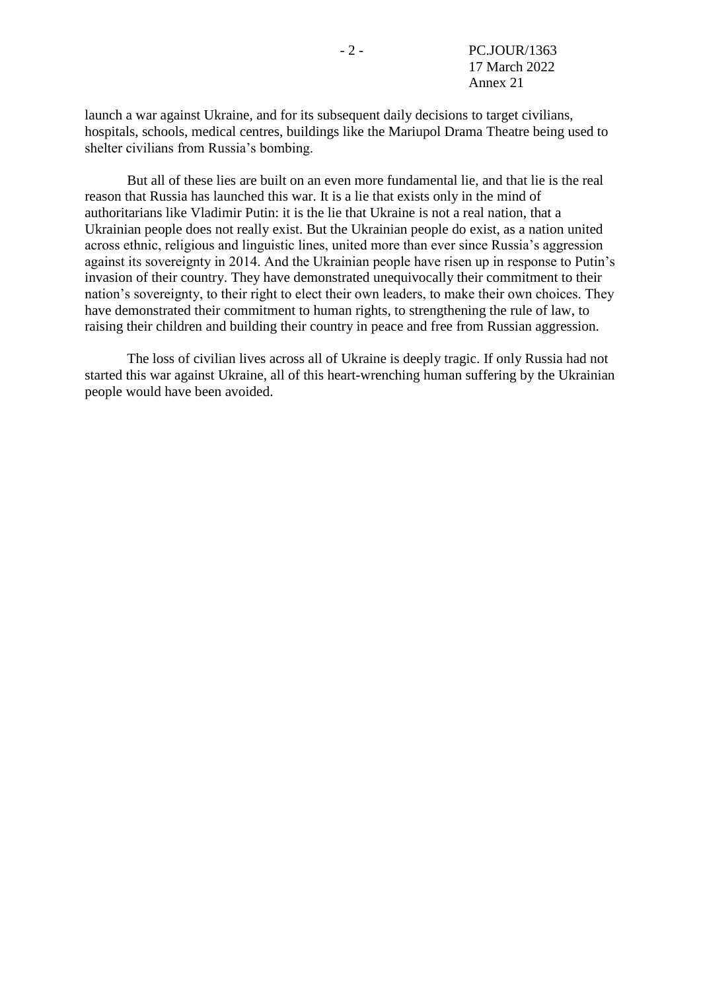launch a war against Ukraine, and for its subsequent daily decisions to target civilians, hospitals, schools, medical centres, buildings like the Mariupol Drama Theatre being used to shelter civilians from Russia's bombing.

But all of these lies are built on an even more fundamental lie, and that lie is the real reason that Russia has launched this war. It is a lie that exists only in the mind of authoritarians like Vladimir Putin: it is the lie that Ukraine is not a real nation, that a Ukrainian people does not really exist. But the Ukrainian people do exist, as a nation united across ethnic, religious and linguistic lines, united more than ever since Russia's aggression against its sovereignty in 2014. And the Ukrainian people have risen up in response to Putin's invasion of their country. They have demonstrated unequivocally their commitment to their nation's sovereignty, to their right to elect their own leaders, to make their own choices. They have demonstrated their commitment to human rights, to strengthening the rule of law, to raising their children and building their country in peace and free from Russian aggression.

The loss of civilian lives across all of Ukraine is deeply tragic. If only Russia had not started this war against Ukraine, all of this heart-wrenching human suffering by the Ukrainian people would have been avoided.